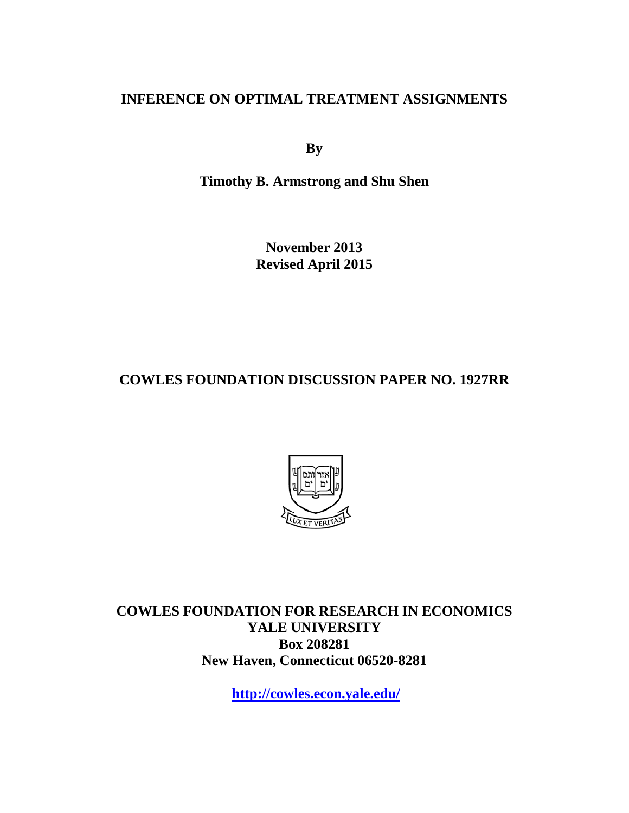## **INFERENCE ON OPTIMAL TREATMENT ASSIGNMENTS**

**By**

**Timothy B. Armstrong and Shu Shen**

**November 2013 Revised April 2015**

**COWLES FOUNDATION DISCUSSION PAPER NO. 1927RR**



**COWLES FOUNDATION FOR RESEARCH IN ECONOMICS YALE UNIVERSITY Box 208281 New Haven, Connecticut 06520-8281**

**<http://cowles.econ.yale.edu/>**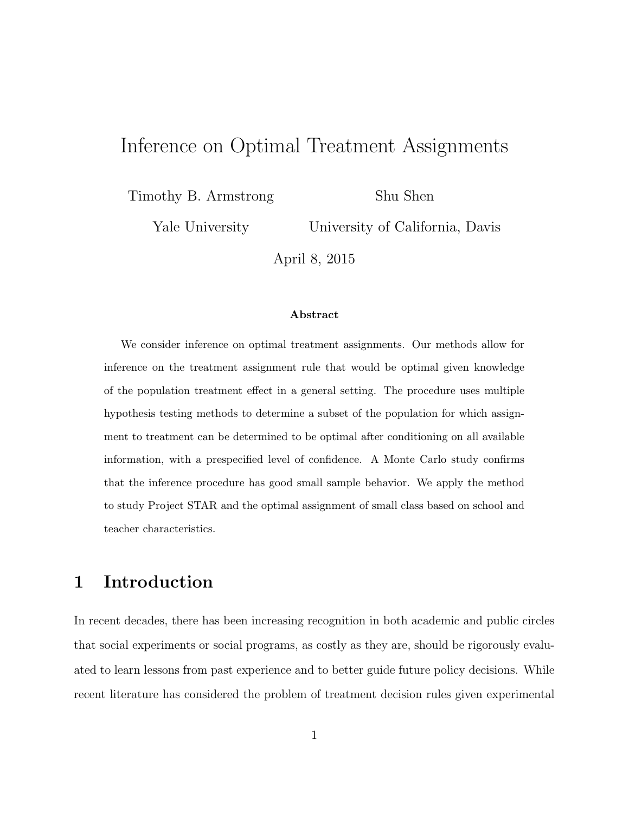## Inference on Optimal Treatment Assignments

Timothy B. Armstrong

Shu Shen

Yale University

University of California, Davis

April 8, 2015

#### Abstract

We consider inference on optimal treatment assignments. Our methods allow for inference on the treatment assignment rule that would be optimal given knowledge of the population treatment effect in a general setting. The procedure uses multiple hypothesis testing methods to determine a subset of the population for which assignment to treatment can be determined to be optimal after conditioning on all available information, with a prespecified level of confidence. A Monte Carlo study confirms that the inference procedure has good small sample behavior. We apply the method to study Project STAR and the optimal assignment of small class based on school and teacher characteristics.

## 1 Introduction

In recent decades, there has been increasing recognition in both academic and public circles that social experiments or social programs, as costly as they are, should be rigorously evaluated to learn lessons from past experience and to better guide future policy decisions. While recent literature has considered the problem of treatment decision rules given experimental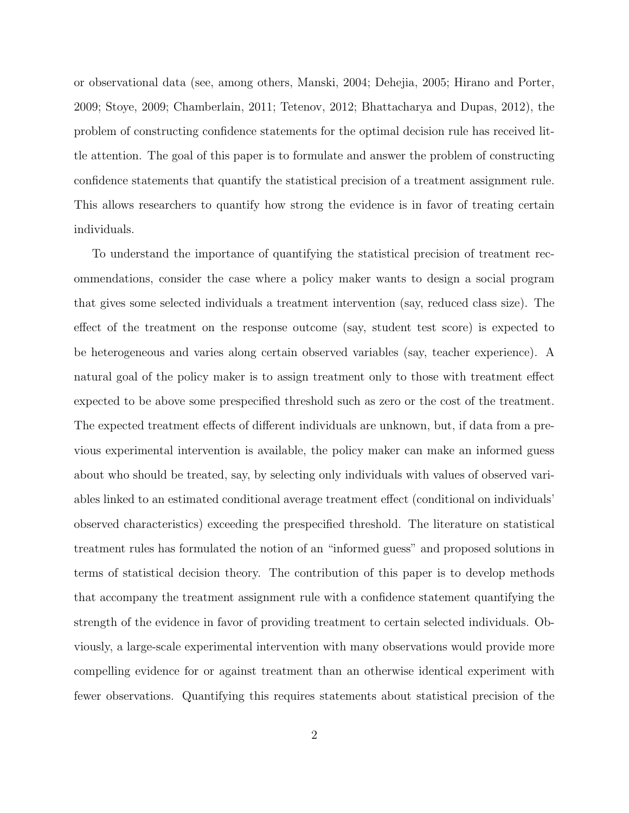or observational data (see, among others, Manski, 2004; Dehejia, 2005; Hirano and Porter, 2009; Stoye, 2009; Chamberlain, 2011; Tetenov, 2012; Bhattacharya and Dupas, 2012), the problem of constructing confidence statements for the optimal decision rule has received little attention. The goal of this paper is to formulate and answer the problem of constructing confidence statements that quantify the statistical precision of a treatment assignment rule. This allows researchers to quantify how strong the evidence is in favor of treating certain individuals.

To understand the importance of quantifying the statistical precision of treatment recommendations, consider the case where a policy maker wants to design a social program that gives some selected individuals a treatment intervention (say, reduced class size). The effect of the treatment on the response outcome (say, student test score) is expected to be heterogeneous and varies along certain observed variables (say, teacher experience). A natural goal of the policy maker is to assign treatment only to those with treatment effect expected to be above some prespecified threshold such as zero or the cost of the treatment. The expected treatment effects of different individuals are unknown, but, if data from a previous experimental intervention is available, the policy maker can make an informed guess about who should be treated, say, by selecting only individuals with values of observed variables linked to an estimated conditional average treatment effect (conditional on individuals' observed characteristics) exceeding the prespecified threshold. The literature on statistical treatment rules has formulated the notion of an "informed guess" and proposed solutions in terms of statistical decision theory. The contribution of this paper is to develop methods that accompany the treatment assignment rule with a confidence statement quantifying the strength of the evidence in favor of providing treatment to certain selected individuals. Obviously, a large-scale experimental intervention with many observations would provide more compelling evidence for or against treatment than an otherwise identical experiment with fewer observations. Quantifying this requires statements about statistical precision of the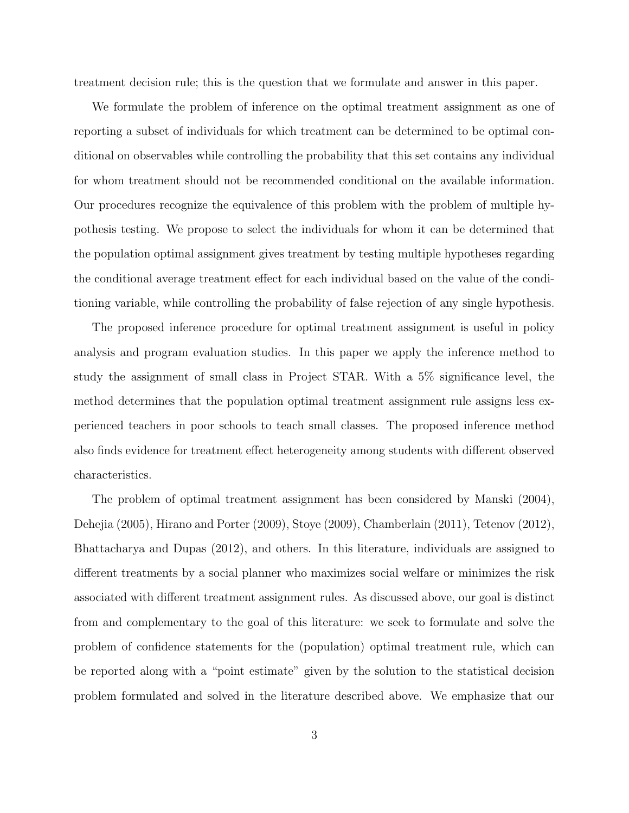treatment decision rule; this is the question that we formulate and answer in this paper.

We formulate the problem of inference on the optimal treatment assignment as one of reporting a subset of individuals for which treatment can be determined to be optimal conditional on observables while controlling the probability that this set contains any individual for whom treatment should not be recommended conditional on the available information. Our procedures recognize the equivalence of this problem with the problem of multiple hypothesis testing. We propose to select the individuals for whom it can be determined that the population optimal assignment gives treatment by testing multiple hypotheses regarding the conditional average treatment effect for each individual based on the value of the conditioning variable, while controlling the probability of false rejection of any single hypothesis.

The proposed inference procedure for optimal treatment assignment is useful in policy analysis and program evaluation studies. In this paper we apply the inference method to study the assignment of small class in Project STAR. With a 5% significance level, the method determines that the population optimal treatment assignment rule assigns less experienced teachers in poor schools to teach small classes. The proposed inference method also finds evidence for treatment effect heterogeneity among students with different observed characteristics.

The problem of optimal treatment assignment has been considered by Manski (2004), Dehejia (2005), Hirano and Porter (2009), Stoye (2009), Chamberlain (2011), Tetenov (2012), Bhattacharya and Dupas (2012), and others. In this literature, individuals are assigned to different treatments by a social planner who maximizes social welfare or minimizes the risk associated with different treatment assignment rules. As discussed above, our goal is distinct from and complementary to the goal of this literature: we seek to formulate and solve the problem of confidence statements for the (population) optimal treatment rule, which can be reported along with a "point estimate" given by the solution to the statistical decision problem formulated and solved in the literature described above. We emphasize that our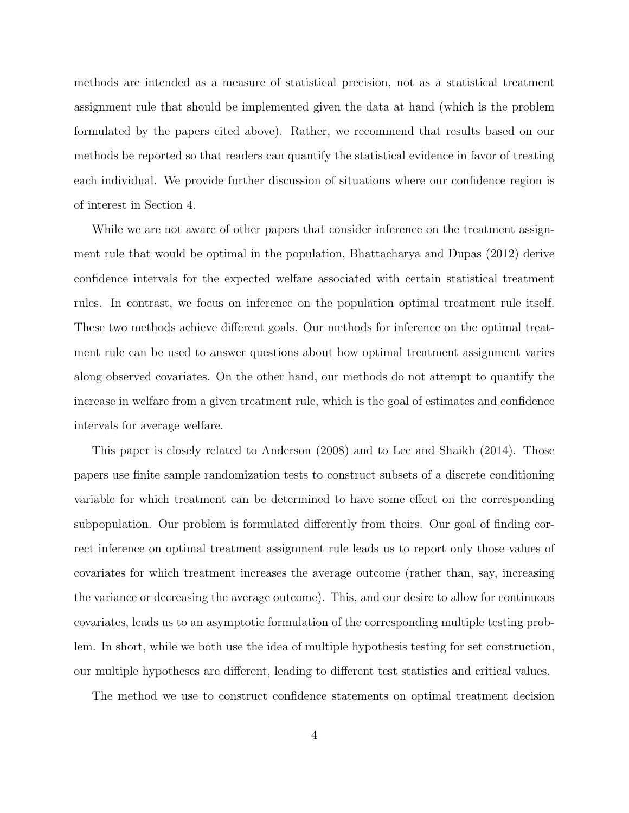methods are intended as a measure of statistical precision, not as a statistical treatment assignment rule that should be implemented given the data at hand (which is the problem formulated by the papers cited above). Rather, we recommend that results based on our methods be reported so that readers can quantify the statistical evidence in favor of treating each individual. We provide further discussion of situations where our confidence region is of interest in Section 4.

While we are not aware of other papers that consider inference on the treatment assignment rule that would be optimal in the population, Bhattacharya and Dupas (2012) derive confidence intervals for the expected welfare associated with certain statistical treatment rules. In contrast, we focus on inference on the population optimal treatment rule itself. These two methods achieve different goals. Our methods for inference on the optimal treatment rule can be used to answer questions about how optimal treatment assignment varies along observed covariates. On the other hand, our methods do not attempt to quantify the increase in welfare from a given treatment rule, which is the goal of estimates and confidence intervals for average welfare.

This paper is closely related to Anderson (2008) and to Lee and Shaikh (2014). Those papers use finite sample randomization tests to construct subsets of a discrete conditioning variable for which treatment can be determined to have some effect on the corresponding subpopulation. Our problem is formulated differently from theirs. Our goal of finding correct inference on optimal treatment assignment rule leads us to report only those values of covariates for which treatment increases the average outcome (rather than, say, increasing the variance or decreasing the average outcome). This, and our desire to allow for continuous covariates, leads us to an asymptotic formulation of the corresponding multiple testing problem. In short, while we both use the idea of multiple hypothesis testing for set construction, our multiple hypotheses are different, leading to different test statistics and critical values.

The method we use to construct confidence statements on optimal treatment decision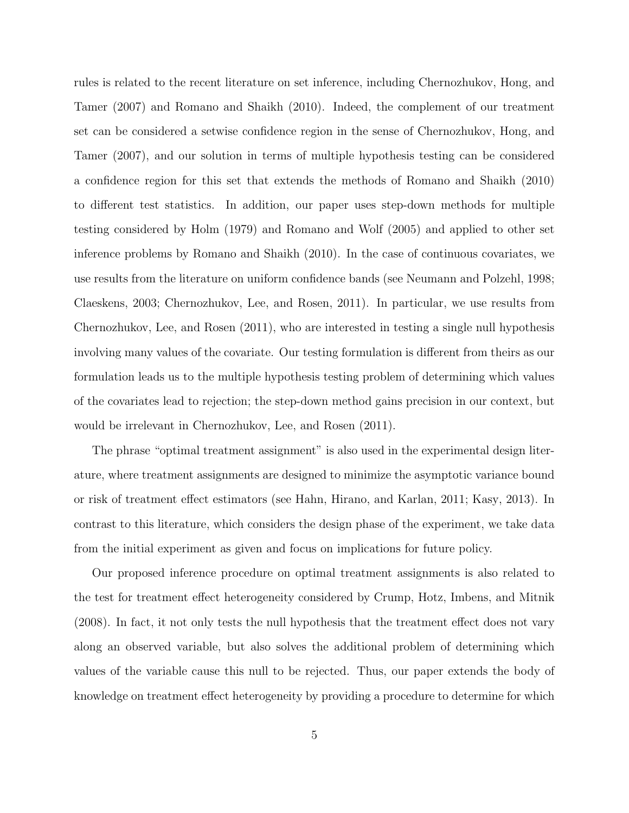rules is related to the recent literature on set inference, including Chernozhukov, Hong, and Tamer (2007) and Romano and Shaikh (2010). Indeed, the complement of our treatment set can be considered a setwise confidence region in the sense of Chernozhukov, Hong, and Tamer (2007), and our solution in terms of multiple hypothesis testing can be considered a confidence region for this set that extends the methods of Romano and Shaikh (2010) to different test statistics. In addition, our paper uses step-down methods for multiple testing considered by Holm (1979) and Romano and Wolf (2005) and applied to other set inference problems by Romano and Shaikh (2010). In the case of continuous covariates, we use results from the literature on uniform confidence bands (see Neumann and Polzehl, 1998; Claeskens, 2003; Chernozhukov, Lee, and Rosen, 2011). In particular, we use results from Chernozhukov, Lee, and Rosen (2011), who are interested in testing a single null hypothesis involving many values of the covariate. Our testing formulation is different from theirs as our formulation leads us to the multiple hypothesis testing problem of determining which values of the covariates lead to rejection; the step-down method gains precision in our context, but would be irrelevant in Chernozhukov, Lee, and Rosen (2011).

The phrase "optimal treatment assignment" is also used in the experimental design literature, where treatment assignments are designed to minimize the asymptotic variance bound or risk of treatment effect estimators (see Hahn, Hirano, and Karlan, 2011; Kasy, 2013). In contrast to this literature, which considers the design phase of the experiment, we take data from the initial experiment as given and focus on implications for future policy.

Our proposed inference procedure on optimal treatment assignments is also related to the test for treatment effect heterogeneity considered by Crump, Hotz, Imbens, and Mitnik (2008). In fact, it not only tests the null hypothesis that the treatment effect does not vary along an observed variable, but also solves the additional problem of determining which values of the variable cause this null to be rejected. Thus, our paper extends the body of knowledge on treatment effect heterogeneity by providing a procedure to determine for which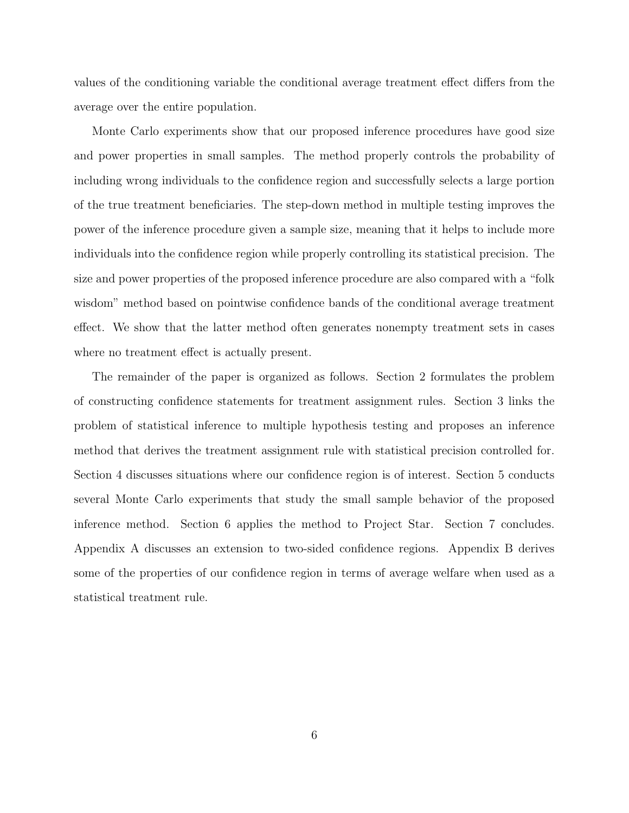values of the conditioning variable the conditional average treatment effect differs from the average over the entire population.

Monte Carlo experiments show that our proposed inference procedures have good size and power properties in small samples. The method properly controls the probability of including wrong individuals to the confidence region and successfully selects a large portion of the true treatment beneficiaries. The step-down method in multiple testing improves the power of the inference procedure given a sample size, meaning that it helps to include more individuals into the confidence region while properly controlling its statistical precision. The size and power properties of the proposed inference procedure are also compared with a "folk wisdom" method based on pointwise confidence bands of the conditional average treatment effect. We show that the latter method often generates nonempty treatment sets in cases where no treatment effect is actually present.

The remainder of the paper is organized as follows. Section 2 formulates the problem of constructing confidence statements for treatment assignment rules. Section 3 links the problem of statistical inference to multiple hypothesis testing and proposes an inference method that derives the treatment assignment rule with statistical precision controlled for. Section 4 discusses situations where our confidence region is of interest. Section 5 conducts several Monte Carlo experiments that study the small sample behavior of the proposed inference method. Section 6 applies the method to Project Star. Section 7 concludes. Appendix A discusses an extension to two-sided confidence regions. Appendix B derives some of the properties of our confidence region in terms of average welfare when used as a statistical treatment rule.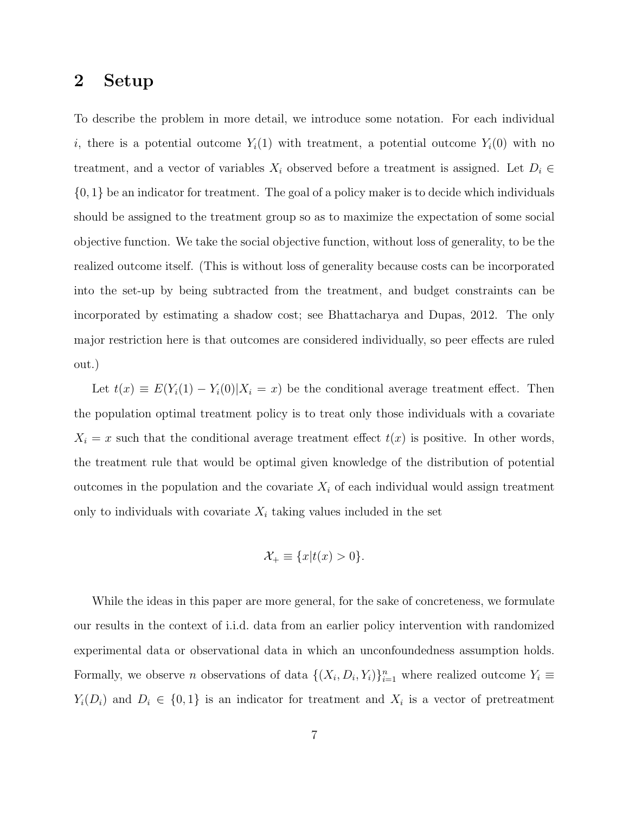### 2 Setup

To describe the problem in more detail, we introduce some notation. For each individual i, there is a potential outcome  $Y_i(1)$  with treatment, a potential outcome  $Y_i(0)$  with no treatment, and a vector of variables  $X_i$  observed before a treatment is assigned. Let  $D_i \in$  $\{0,1\}$  be an indicator for treatment. The goal of a policy maker is to decide which individuals should be assigned to the treatment group so as to maximize the expectation of some social objective function. We take the social objective function, without loss of generality, to be the realized outcome itself. (This is without loss of generality because costs can be incorporated into the set-up by being subtracted from the treatment, and budget constraints can be incorporated by estimating a shadow cost; see Bhattacharya and Dupas, 2012. The only major restriction here is that outcomes are considered individually, so peer effects are ruled out.)

Let  $t(x) \equiv E(Y_i(1) - Y_i(0)|X_i = x)$  be the conditional average treatment effect. Then the population optimal treatment policy is to treat only those individuals with a covariate  $X_i = x$  such that the conditional average treatment effect  $t(x)$  is positive. In other words, the treatment rule that would be optimal given knowledge of the distribution of potential outcomes in the population and the covariate  $X_i$  of each individual would assign treatment only to individuals with covariate  $X_i$  taking values included in the set

$$
\mathcal{X}_{+} \equiv \{x|t(x) > 0\}.
$$

While the ideas in this paper are more general, for the sake of concreteness, we formulate our results in the context of i.i.d. data from an earlier policy intervention with randomized experimental data or observational data in which an unconfoundedness assumption holds. Formally, we observe *n* observations of data  $\{(X_i, D_i, Y_i)\}_{i=1}^n$  where realized outcome  $Y_i \equiv$  $Y_i(D_i)$  and  $D_i \in \{0,1\}$  is an indicator for treatment and  $X_i$  is a vector of pretreatment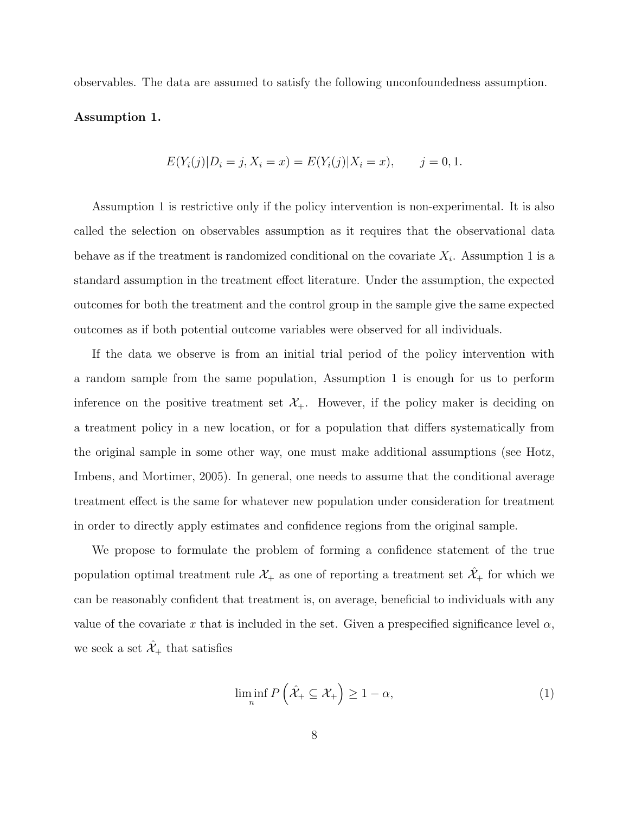observables. The data are assumed to satisfy the following unconfoundedness assumption.

#### Assumption 1.

$$
E(Y_i(j)|D_i = j, X_i = x) = E(Y_i(j)|X_i = x), \qquad j = 0, 1.
$$

Assumption 1 is restrictive only if the policy intervention is non-experimental. It is also called the selection on observables assumption as it requires that the observational data behave as if the treatment is randomized conditional on the covariate  $X_i$ . Assumption 1 is a standard assumption in the treatment effect literature. Under the assumption, the expected outcomes for both the treatment and the control group in the sample give the same expected outcomes as if both potential outcome variables were observed for all individuals.

If the data we observe is from an initial trial period of the policy intervention with a random sample from the same population, Assumption 1 is enough for us to perform inference on the positive treatment set  $\mathcal{X}_{+}$ . However, if the policy maker is deciding on a treatment policy in a new location, or for a population that differs systematically from the original sample in some other way, one must make additional assumptions (see Hotz, Imbens, and Mortimer, 2005). In general, one needs to assume that the conditional average treatment effect is the same for whatever new population under consideration for treatment in order to directly apply estimates and confidence regions from the original sample.

We propose to formulate the problem of forming a confidence statement of the true population optimal treatment rule  $\mathcal{X}_+$  as one of reporting a treatment set  $\mathcal{X}_+$  for which we can be reasonably confident that treatment is, on average, beneficial to individuals with any value of the covariate x that is included in the set. Given a prespecified significance level  $\alpha$ , we seek a set  $\hat{\mathcal{X}}_{+}$  that satisfies

$$
\liminf_{n} P\left(\hat{\mathcal{X}}_+ \subseteq \mathcal{X}_+\right) \ge 1 - \alpha,\tag{1}
$$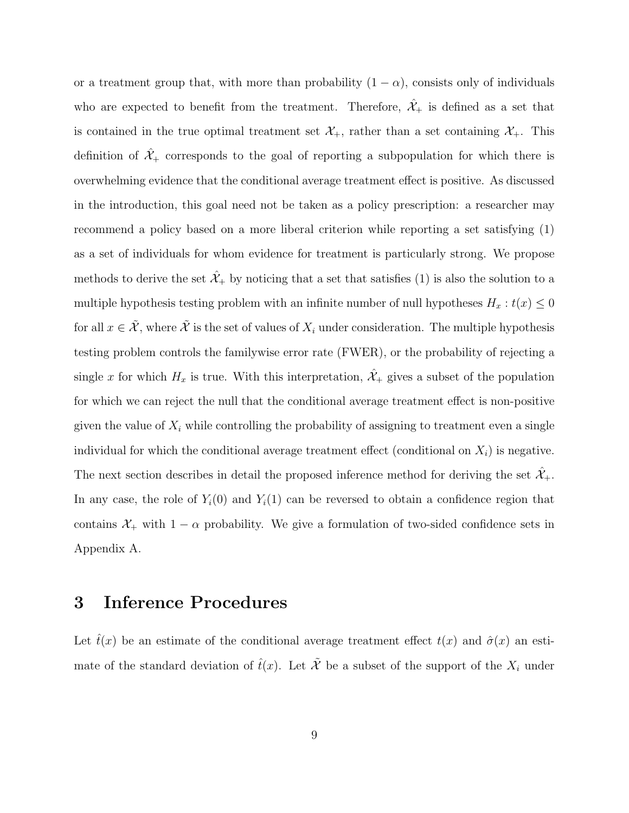or a treatment group that, with more than probability  $(1 - \alpha)$ , consists only of individuals who are expected to benefit from the treatment. Therefore,  $\mathcal{X}_+$  is defined as a set that is contained in the true optimal treatment set  $\mathcal{X}_+$ , rather than a set containing  $\mathcal{X}_+$ . This definition of  $\hat{\mathcal{X}}_+$  corresponds to the goal of reporting a subpopulation for which there is overwhelming evidence that the conditional average treatment effect is positive. As discussed in the introduction, this goal need not be taken as a policy prescription: a researcher may recommend a policy based on a more liberal criterion while reporting a set satisfying (1) as a set of individuals for whom evidence for treatment is particularly strong. We propose methods to derive the set  $\hat{\mathcal{X}}_+$  by noticing that a set that satisfies (1) is also the solution to a multiple hypothesis testing problem with an infinite number of null hypotheses  $H_x : t(x) \leq 0$ for all  $x \in \tilde{\mathcal{X}}$ , where  $\tilde{\mathcal{X}}$  is the set of values of  $X_i$  under consideration. The multiple hypothesis testing problem controls the familywise error rate (FWER), or the probability of rejecting a single x for which  $H_x$  is true. With this interpretation,  $\hat{\mathcal{X}}_+$  gives a subset of the population for which we can reject the null that the conditional average treatment effect is non-positive given the value of  $X_i$  while controlling the probability of assigning to treatment even a single individual for which the conditional average treatment effect (conditional on  $X_i$ ) is negative. The next section describes in detail the proposed inference method for deriving the set  $\mathcal{X}_{+}$ . In any case, the role of  $Y_i(0)$  and  $Y_i(1)$  can be reversed to obtain a confidence region that contains  $\mathcal{X}_+$  with  $1 - \alpha$  probability. We give a formulation of two-sided confidence sets in Appendix A.

## 3 Inference Procedures

Let  $\hat{t}(x)$  be an estimate of the conditional average treatment effect  $t(x)$  and  $\hat{\sigma}(x)$  an estimate of the standard deviation of  $\hat{t}(x)$ . Let  $\tilde{\mathcal{X}}$  be a subset of the support of the  $X_i$  under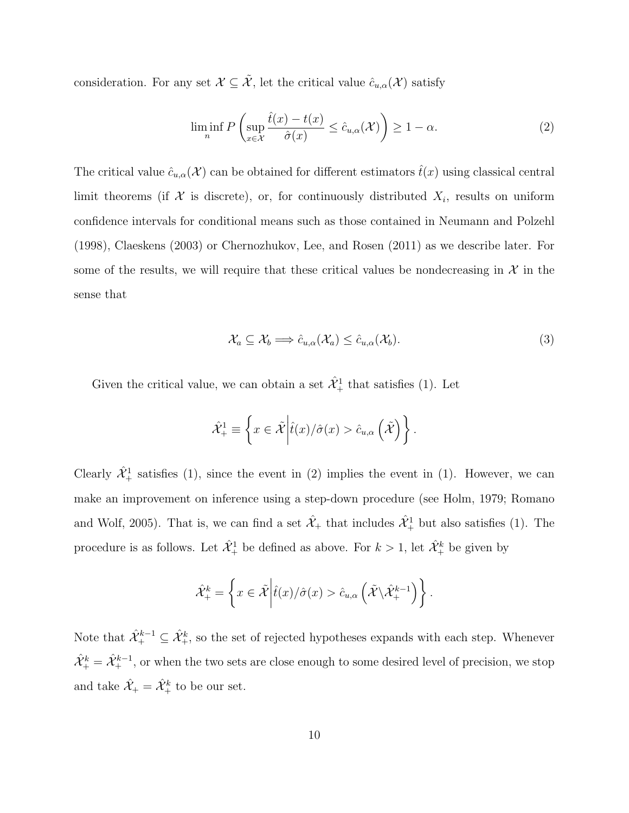consideration. For any set  $\mathcal{X} \subseteq \tilde{\mathcal{X}}$ , let the critical value  $\hat{c}_{u,\alpha}(\mathcal{X})$  satisfy

$$
\liminf_{n} P\left(\sup_{x \in \mathcal{X}} \frac{\hat{t}(x) - t(x)}{\hat{\sigma}(x)} \le \hat{c}_{u,\alpha}(\mathcal{X})\right) \ge 1 - \alpha.
$$
\n(2)

The critical value  $\hat{c}_{u,\alpha}(\mathcal{X})$  can be obtained for different estimators  $\hat{t}(x)$  using classical central limit theorems (if  $\mathcal X$  is discrete), or, for continuously distributed  $X_i$ , results on uniform confidence intervals for conditional means such as those contained in Neumann and Polzehl (1998), Claeskens (2003) or Chernozhukov, Lee, and Rosen (2011) as we describe later. For some of the results, we will require that these critical values be nondecreasing in  $\mathcal{X}$  in the sense that

$$
\mathcal{X}_a \subseteq \mathcal{X}_b \Longrightarrow \hat{c}_{u,\alpha}(\mathcal{X}_a) \le \hat{c}_{u,\alpha}(\mathcal{X}_b). \tag{3}
$$

.

Given the critical value, we can obtain a set  $\hat{\mathcal{X}}_+^1$  that satisfies (1). Let

$$
\hat{\mathcal{X}}_+^1 \equiv \left\{ x \in \tilde{\mathcal{X}} \middle| \hat{t}(x) / \hat{\sigma}(x) > \hat{c}_{u,\alpha} \left( \tilde{\mathcal{X}} \right) \right\}.
$$

Clearly  $\hat{\mathcal{X}}_+^1$  satisfies (1), since the event in (2) implies the event in (1). However, we can make an improvement on inference using a step-down procedure (see Holm, 1979; Romano and Wolf, 2005). That is, we can find a set  $\hat{\mathcal{X}}_+$  that includes  $\hat{\mathcal{X}}_+^1$  but also satisfies (1). The procedure is as follows. Let  $\hat{\mathcal{X}}_+^1$  be defined as above. For  $k > 1$ , let  $\hat{\mathcal{X}}_+^k$  be given by

$$
\hat{\mathcal{X}}_{+}^{k} = \left\{ x \in \tilde{\mathcal{X}} \middle| \hat{t}(x) / \hat{\sigma}(x) > \hat{c}_{u,\alpha} \left( \tilde{\mathcal{X}} \backslash \hat{\mathcal{X}}_{+}^{k-1} \right) \right\}
$$

Note that  $\hat{X}^{k-1}_+ \subseteq \hat{X}^k_+$ , so the set of rejected hypotheses expands with each step. Whenever  $\hat{\mathcal{X}}_+^k = \hat{\mathcal{X}}_+^{k-1}$ , or when the two sets are close enough to some desired level of precision, we stop and take  $\hat{\mathcal{X}}_+ = \hat{\mathcal{X}}_+^k$  to be our set.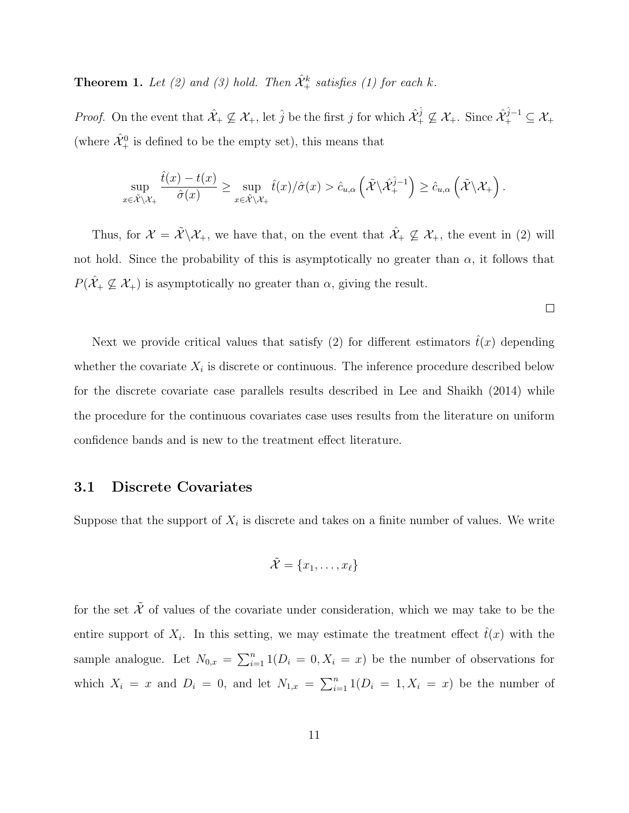**Theorem 1.** Let (2) and (3) hold. Then  $\hat{\mathcal{X}}^k_+$  satisfies (1) for each k.

*Proof.* On the event that  $\hat{\mathcal{X}}_+ \not\subseteq \mathcal{X}_+$ , let  $\hat{j}$  be the first j for which  $\hat{\mathcal{X}}_+^{\hat{j}} \not\subseteq \mathcal{X}_+$ . Since  $\hat{\mathcal{X}}_+^{\hat{j}-1} \subseteq \mathcal{X}_+$ (where  $\hat{\mathcal{X}}_{+}^{0}$  is defined to be the empty set), this means that

$$
\sup_{x \in \tilde{\mathcal{X}} \setminus \mathcal{X}_+} \frac{\hat{t}(x) - t(x)}{\hat{\sigma}(x)} \ge \sup_{x \in \tilde{\mathcal{X}} \setminus \mathcal{X}_+} \hat{t}(x) / \hat{\sigma}(x) > \hat{c}_{u,\alpha} \left( \tilde{\mathcal{X}} \setminus \hat{\mathcal{X}}_+^{\hat{j}-1} \right) \ge \hat{c}_{u,\alpha} \left( \tilde{\mathcal{X}} \setminus \mathcal{X}_+ \right).
$$

Thus, for  $\mathcal{X} = \tilde{\mathcal{X}} \backslash \mathcal{X}_+$ , we have that, on the event that  $\hat{\mathcal{X}}_+ \nsubseteq \mathcal{X}_+$ , the event in (2) will not hold. Since the probability of this is asymptotically no greater than  $\alpha$ , it follows that  $P(\hat{\mathcal{X}}_+\not\subseteq \mathcal{X}_+)$  is asymptotically no greater than  $\alpha$ , giving the result.

$$
\Box
$$

Next we provide critical values that satisfy (2) for different estimators  $\hat{t}(x)$  depending whether the covariate  $X_i$  is discrete or continuous. The inference procedure described below for the discrete covariate case parallels results described in Lee and Shaikh (2014) while the procedure for the continuous covariates case uses results from the literature on uniform confidence bands and is new to the treatment effect literature.

#### 3.1 Discrete Covariates

Suppose that the support of  $X_i$  is discrete and takes on a finite number of values. We write

$$
\tilde{\mathcal{X}} = \{x_1, \ldots, x_\ell\}
$$

for the set  $\tilde{\mathcal{X}}$  of values of the covariate under consideration, which we may take to be the entire support of  $X_i$ . In this setting, we may estimate the treatment effect  $\hat{t}(x)$  with the sample analogue. Let  $N_{0,x} = \sum_{i=1}^n 1(D_i = 0, X_i = x)$  be the number of observations for which  $X_i = x$  and  $D_i = 0$ , and let  $N_{1,x} = \sum_{i=1}^n 1(D_i = 1, X_i = x)$  be the number of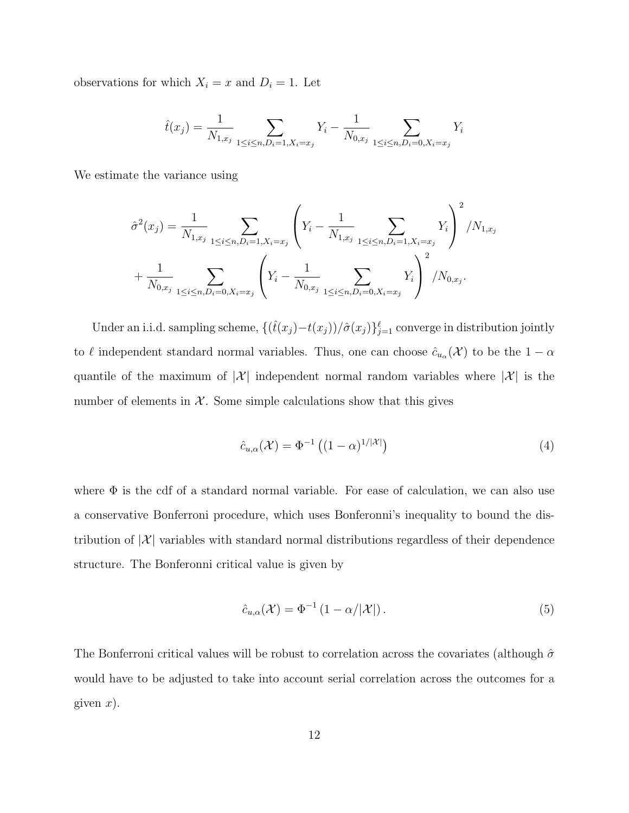observations for which  $X_i = x$  and  $D_i = 1$ . Let

$$
\hat{t}(x_j) = \frac{1}{N_{1,x_j}} \sum_{1 \le i \le n, D_i = 1, X_i = x_j} Y_i - \frac{1}{N_{0,x_j}} \sum_{1 \le i \le n, D_i = 0, X_i = x_j} Y_i
$$

We estimate the variance using

$$
\hat{\sigma}^{2}(x_{j}) = \frac{1}{N_{1,x_{j}}} \sum_{1 \leq i \leq n, D_{i}=1, X_{i}=x_{j}} \left(Y_{i} - \frac{1}{N_{1,x_{j}}} \sum_{1 \leq i \leq n, D_{i}=1, X_{i}=x_{j}} Y_{i}\right)^{2} / N_{1,x_{j}}
$$

$$
+ \frac{1}{N_{0,x_{j}}} \sum_{1 \leq i \leq n, D_{i}=0, X_{i}=x_{j}} \left(Y_{i} - \frac{1}{N_{0,x_{j}}} \sum_{1 \leq i \leq n, D_{i}=0, X_{i}=x_{j}} Y_{i}\right)^{2} / N_{0,x_{j}}.
$$

Under an i.i.d. sampling scheme,  $\{\left(\hat{t}(x_j) - t(x_j)\right) / \hat{\sigma}(x_j)\}_{j=1}^{\ell}$  converge in distribution jointly to  $\ell$  independent standard normal variables. Thus, one can choose  $\hat{c}_{u_\alpha}(\mathcal{X})$  to be the  $1 - \alpha$ quantile of the maximum of  $|\mathcal{X}|$  independent normal random variables where  $|\mathcal{X}|$  is the number of elements in  $X$ . Some simple calculations show that this gives

$$
\hat{c}_{u,\alpha}(\mathcal{X}) = \Phi^{-1}\left( (1-\alpha)^{1/|\mathcal{X}|} \right) \tag{4}
$$

where  $\Phi$  is the cdf of a standard normal variable. For ease of calculation, we can also use a conservative Bonferroni procedure, which uses Bonferonni's inequality to bound the distribution of  $|\mathcal{X}|$  variables with standard normal distributions regardless of their dependence structure. The Bonferonni critical value is given by

$$
\hat{c}_{u,\alpha}(\mathcal{X}) = \Phi^{-1} \left( 1 - \alpha / |\mathcal{X}| \right). \tag{5}
$$

The Bonferroni critical values will be robust to correlation across the covariates (although  $\hat{\sigma}$ would have to be adjusted to take into account serial correlation across the outcomes for a given  $x$ ).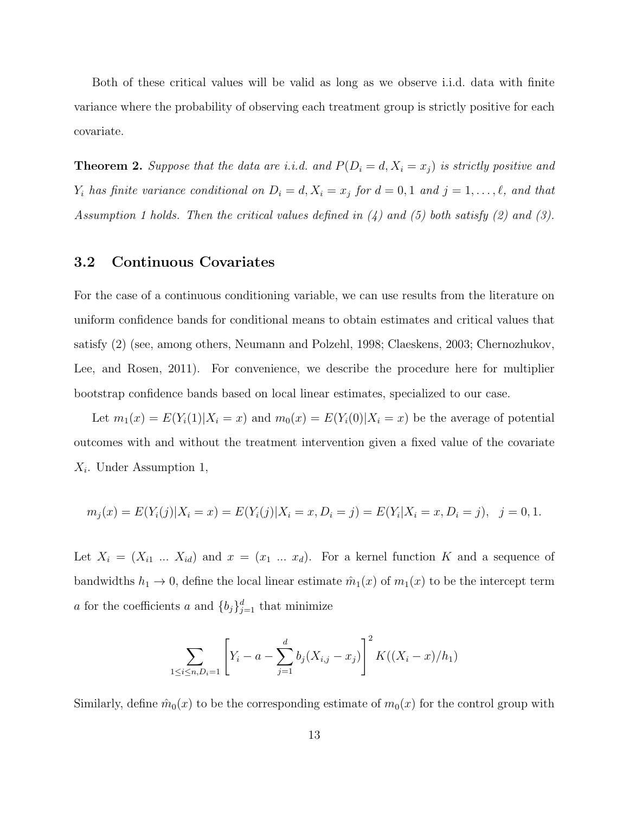Both of these critical values will be valid as long as we observe i.i.d. data with finite variance where the probability of observing each treatment group is strictly positive for each covariate.

**Theorem 2.** Suppose that the data are i.i.d. and  $P(D_i = d, X_i = x_j)$  is strictly positive and  $Y_i$  has finite variance conditional on  $D_i = d, X_i = x_j$  for  $d = 0, 1$  and  $j = 1, ..., \ell$ , and that Assumption 1 holds. Then the critical values defined in (4) and (5) both satisfy (2) and (3).

#### 3.2 Continuous Covariates

For the case of a continuous conditioning variable, we can use results from the literature on uniform confidence bands for conditional means to obtain estimates and critical values that satisfy (2) (see, among others, Neumann and Polzehl, 1998; Claeskens, 2003; Chernozhukov, Lee, and Rosen, 2011). For convenience, we describe the procedure here for multiplier bootstrap confidence bands based on local linear estimates, specialized to our case.

Let  $m_1(x) = E(Y_i(1)|X_i = x)$  and  $m_0(x) = E(Y_i(0)|X_i = x)$  be the average of potential outcomes with and without the treatment intervention given a fixed value of the covariate  $X_i$ . Under Assumption 1,

$$
m_j(x) = E(Y_i(j)|X_i = x) = E(Y_i(j)|X_i = x, D_i = j) = E(Y_i|X_i = x, D_i = j), \quad j = 0, 1.
$$

Let  $X_i = (X_{i1} \dots X_{id})$  and  $x = (x_1 \dots x_d)$ . For a kernel function K and a sequence of bandwidths  $h_1 \to 0$ , define the local linear estimate  $\hat{m}_1(x)$  of  $m_1(x)$  to be the intercept term a for the coefficients a and  ${b_j}_{j=1}^d$  that minimize

$$
\sum_{1 \le i \le n, D_i = 1} \left[ Y_i - a - \sum_{j=1}^d b_j (X_{i,j} - x_j) \right]^2 K((X_i - x)/h_1)
$$

Similarly, define  $\hat{m}_0(x)$  to be the corresponding estimate of  $m_0(x)$  for the control group with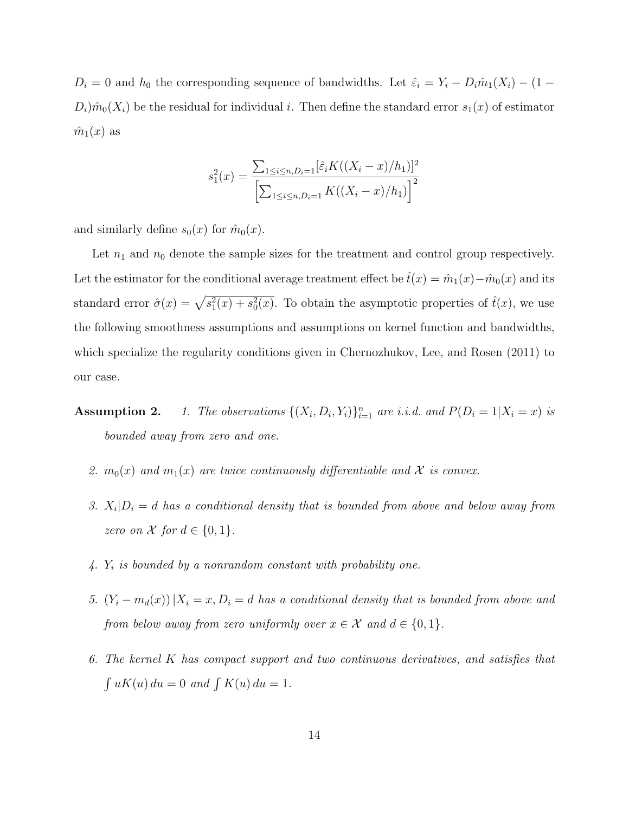$D_i = 0$  and  $h_0$  the corresponding sequence of bandwidths. Let  $\hat{\varepsilon}_i = Y_i - D_i \hat{m}_1(X_i) - (1 D_i$ ) $\hat{m}_0(X_i)$  be the residual for individual i. Then define the standard error  $s_1(x)$  of estimator  $\hat{m}_1(x)$  as

$$
s_1^2(x) = \frac{\sum_{1 \le i \le n, D_i=1} [\hat{\varepsilon}_i K((X_i - x)/h_1)]^2}{\left[\sum_{1 \le i \le n, D_i=1} K((X_i - x)/h_1)\right]^2}
$$

and similarly define  $s_0(x)$  for  $\hat{m}_0(x)$ .

Let  $n_1$  and  $n_0$  denote the sample sizes for the treatment and control group respectively. Let the estimator for the conditional average treatment effect be  $\hat{t}(x) = \hat{m}_1(x) - \hat{m}_0(x)$  and its standard error  $\hat{\sigma}(x) = \sqrt{s_1^2(x) + s_0^2(x)}$ . To obtain the asymptotic properties of  $\hat{t}(x)$ , we use the following smoothness assumptions and assumptions on kernel function and bandwidths, which specialize the regularity conditions given in Chernozhukov, Lee, and Rosen (2011) to our case.

- **Assumption 2.** 1. The observations  $\{(X_i, D_i, Y_i)\}_{i=1}^n$  are i.i.d. and  $P(D_i = 1 | X_i = x)$  is bounded away from zero and one.
	- 2.  $m_0(x)$  and  $m_1(x)$  are twice continuously differentiable and X is convex.
	- 3.  $X_i|D_i = d$  has a conditional density that is bounded from above and below away from zero on X for  $d \in \{0, 1\}$ .
	- $\mathcal{A}$ .  $Y_i$  is bounded by a nonrandom constant with probability one.
	- 5.  $(Y_i m_d(x))|X_i = x, D_i = d$  has a conditional density that is bounded from above and from below away from zero uniformly over  $x \in \mathcal{X}$  and  $d \in \{0,1\}$ .
	- 6. The kernel K has compact support and two continuous derivatives, and satisfies that  $\int uK(u) du = 0$  and  $\int K(u) du = 1$ .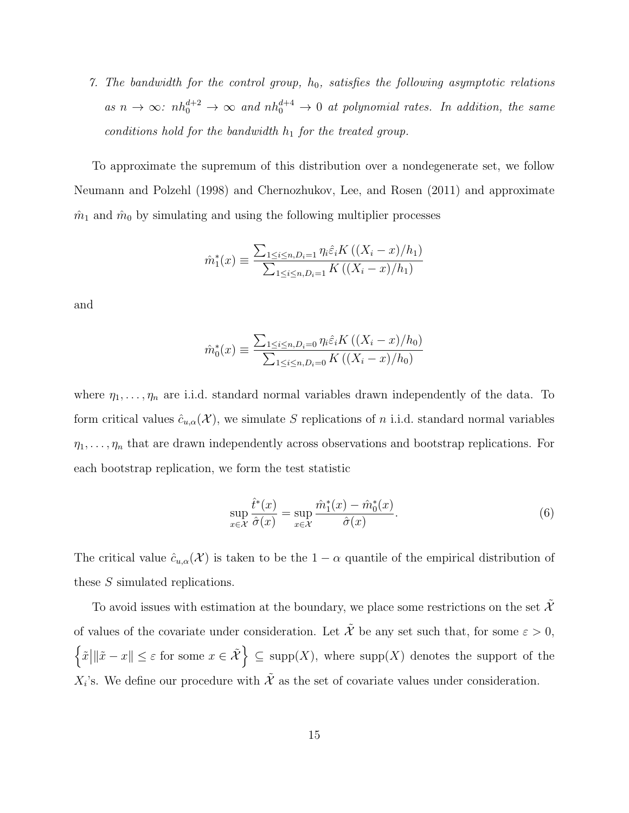7. The bandwidth for the control group,  $h_0$ , satisfies the following asymptotic relations as  $n \to \infty$ :  $nh_0^{d+2} \to \infty$  and  $nh_0^{d+4} \to 0$  at polynomial rates. In addition, the same conditions hold for the bandwidth  $h_1$  for the treated group.

To approximate the supremum of this distribution over a nondegenerate set, we follow Neumann and Polzehl (1998) and Chernozhukov, Lee, and Rosen (2011) and approximate  $\hat{m}_1$  and  $\hat{m}_0$  by simulating and using the following multiplier processes

$$
\hat{m}_1^*(x) \equiv \frac{\sum_{1 \le i \le n, D_i=1} \eta_i \hat{\varepsilon}_i K((X_i - x)/h_1)}{\sum_{1 \le i \le n, D_i=1} K((X_i - x)/h_1)}
$$

and

$$
\hat{m}_0^*(x) \equiv \frac{\sum_{1 \le i \le n, D_i = 0} \eta_i \hat{\varepsilon}_i K((X_i - x)/h_0)}{\sum_{1 \le i \le n, D_i = 0} K((X_i - x)/h_0)}
$$

where  $\eta_1, \ldots, \eta_n$  are i.i.d. standard normal variables drawn independently of the data. To form critical values  $\hat{c}_{u,\alpha}(\mathcal{X})$ , we simulate S replications of n i.i.d. standard normal variables  $\eta_1, \ldots, \eta_n$  that are drawn independently across observations and bootstrap replications. For each bootstrap replication, we form the test statistic

$$
\sup_{x \in \mathcal{X}} \frac{\hat{t}^*(x)}{\hat{\sigma}(x)} = \sup_{x \in \mathcal{X}} \frac{\hat{m}_1^*(x) - \hat{m}_0^*(x)}{\hat{\sigma}(x)}.
$$
\n(6)

The critical value  $\hat{c}_{u,\alpha}(\mathcal{X})$  is taken to be the  $1-\alpha$  quantile of the empirical distribution of these S simulated replications.

To avoid issues with estimation at the boundary, we place some restrictions on the set  $\tilde{\mathcal{X}}$ of values of the covariate under consideration. Let  $\tilde{\mathcal{X}}$  be any set such that, for some  $\varepsilon > 0$ ,  $\left\{ \tilde{x} \middle| \|\tilde{x} - x\| \leq \varepsilon \text{ for some } x \in \tilde{\mathcal{X}} \right\} \subseteq \text{supp}(X)$ , where  $\text{supp}(X)$  denotes the support of the  $X_i$ 's. We define our procedure with  $\tilde{\mathcal{X}}$  as the set of covariate values under consideration.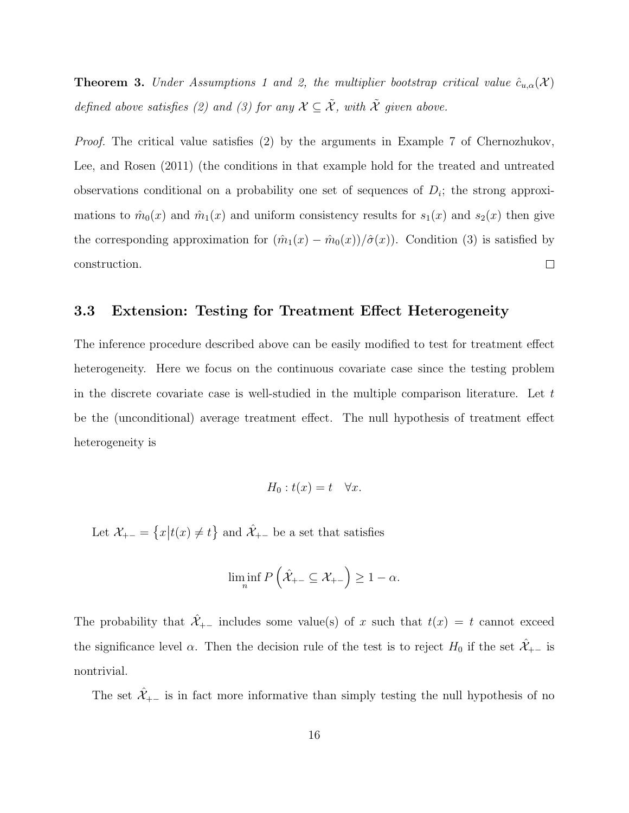**Theorem 3.** Under Assumptions 1 and 2, the multiplier bootstrap critical value  $\hat{c}_{u,\alpha}(\mathcal{X})$ defined above satisfies (2) and (3) for any  $\mathcal{X} \subseteq \tilde{\mathcal{X}}$ , with  $\tilde{\mathcal{X}}$  given above.

Proof. The critical value satisfies (2) by the arguments in Example 7 of Chernozhukov, Lee, and Rosen (2011) (the conditions in that example hold for the treated and untreated observations conditional on a probability one set of sequences of  $D_i$ ; the strong approximations to  $\hat{m}_0(x)$  and  $\hat{m}_1(x)$  and uniform consistency results for  $s_1(x)$  and  $s_2(x)$  then give the corresponding approximation for  $(\hat{m}_1(x) - \hat{m}_0(x))/\hat{\sigma}(x)$ . Condition (3) is satisfied by construction.  $\Box$ 

#### 3.3 Extension: Testing for Treatment Effect Heterogeneity

The inference procedure described above can be easily modified to test for treatment effect heterogeneity. Here we focus on the continuous covariate case since the testing problem in the discrete covariate case is well-studied in the multiple comparison literature. Let  $t$ be the (unconditional) average treatment effect. The null hypothesis of treatment effect heterogeneity is

$$
H_0: t(x) = t \quad \forall x.
$$

Let  $\mathcal{X}_{+-} = \{x \mid t(x) \neq t\}$  and  $\hat{\mathcal{X}}_{+-}$  be a set that satisfies

$$
\liminf_{n} P\left(\hat{\mathcal{X}}_{+-} \subseteq \mathcal{X}_{+-}\right) \ge 1 - \alpha.
$$

The probability that  $\hat{\mathcal{X}}_{+-}$  includes some value(s) of x such that  $t(x) = t$  cannot exceed the significance level  $\alpha$ . Then the decision rule of the test is to reject  $H_0$  if the set  $\mathcal{X}_{+-}$  is nontrivial.

The set  $\hat{\mathcal{X}}_{+-}$  is in fact more informative than simply testing the null hypothesis of no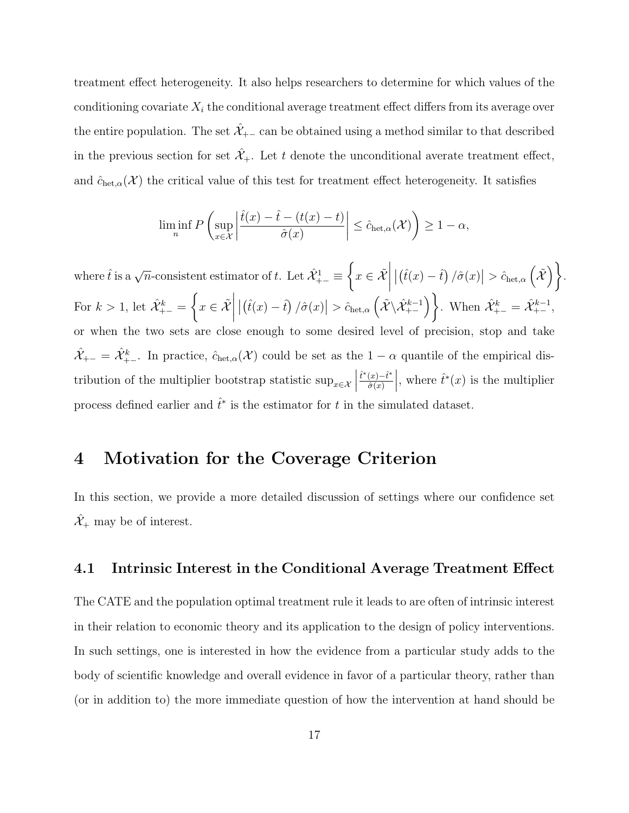treatment effect heterogeneity. It also helps researchers to determine for which values of the conditioning covariate  $X_i$  the conditional average treatment effect differs from its average over the entire population. The set  $\mathcal{X}_{+-}$  can be obtained using a method similar to that described in the previous section for set  $\mathcal{X}_+$ . Let t denote the unconditional averate treatment effect, and  $\hat{c}_{\text{het},\alpha}(\mathcal{X})$  the critical value of this test for treatment effect heterogeneity. It satisfies

$$
\liminf_{n} P\left(\sup_{x\in\mathcal{X}} \left| \frac{\hat{t}(x) - \hat{t} - (t(x) - t)}{\hat{\sigma}(x)} \right| \le \hat{c}_{\text{het},\alpha}(\mathcal{X})\right) \ge 1 - \alpha,
$$

where  $\hat{t}$  is a  $\sqrt{n}$ -consistent estimator of t. Let  $\hat{\mathcal{X}}_{+-}^1 \equiv$  $\left\{x\in\tilde{\mathcal{X}}\bigg|\left|\left(\hat{t}(x)-\hat{t}\right)/\hat{\sigma}(x)\right|>\hat{c}_{\text{het},\alpha}\left(\tilde{\mathcal{X}}\right)\right.\right\}$ .  $\mid$ For  $k>1$ , let  $\hat{\mathcal{X}}_{+-}^k =$  $\left\{x \in \tilde{\mathcal{X}}\right\}$  $\left| \left( \hat{t}(x) - \hat{t} \right) / \hat{\sigma}(x) \right| > \hat{c}_{\text{het},\alpha} \left( \tilde{\mathcal{X}} \backslash \hat{\mathcal{X}}_{+-}^{k-1} \right) \right\}$ . When  $\hat{\mathcal{X}}_{+-}^{k} = \hat{\mathcal{X}}_{+-}^{k-1}$ , or when the two sets are close enough to some desired level of precision, stop and take  $\hat{X}_{+-} = \hat{X}_{+-}^k$ . In practice,  $\hat{c}_{\text{het},\alpha}(\mathcal{X})$  could be set as the  $1-\alpha$  quantile of the empirical distribution of the multiplier bootstrap statistic  $\sup_{x \in \mathcal{X}}$  $\hat{t}^*(x)-\hat{t}^*$  $\hat{\sigma}(x)$ , where  $\hat{t}^*(x)$  is the multiplier process defined earlier and  $\hat{t}^*$  is the estimator for t in the simulated dataset.

### 4 Motivation for the Coverage Criterion

In this section, we provide a more detailed discussion of settings where our confidence set  $\hat{\mathcal{X}}_+$  may be of interest.

#### 4.1 Intrinsic Interest in the Conditional Average Treatment Effect

The CATE and the population optimal treatment rule it leads to are often of intrinsic interest in their relation to economic theory and its application to the design of policy interventions. In such settings, one is interested in how the evidence from a particular study adds to the body of scientific knowledge and overall evidence in favor of a particular theory, rather than (or in addition to) the more immediate question of how the intervention at hand should be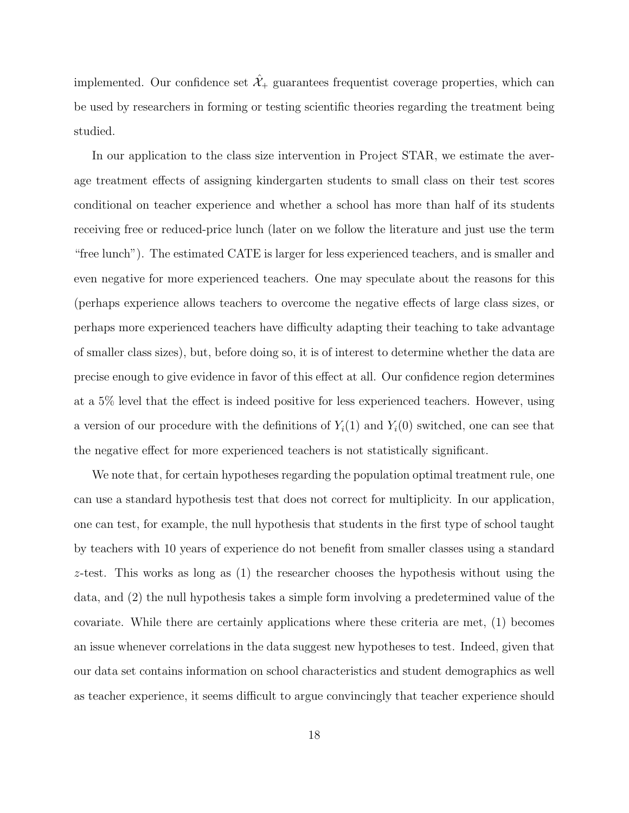implemented. Our confidence set  $\hat{\mathcal{X}}_+$  guarantees frequentist coverage properties, which can be used by researchers in forming or testing scientific theories regarding the treatment being studied.

In our application to the class size intervention in Project STAR, we estimate the average treatment effects of assigning kindergarten students to small class on their test scores conditional on teacher experience and whether a school has more than half of its students receiving free or reduced-price lunch (later on we follow the literature and just use the term "free lunch"). The estimated CATE is larger for less experienced teachers, and is smaller and even negative for more experienced teachers. One may speculate about the reasons for this (perhaps experience allows teachers to overcome the negative effects of large class sizes, or perhaps more experienced teachers have difficulty adapting their teaching to take advantage of smaller class sizes), but, before doing so, it is of interest to determine whether the data are precise enough to give evidence in favor of this effect at all. Our confidence region determines at a 5% level that the effect is indeed positive for less experienced teachers. However, using a version of our procedure with the definitions of  $Y_i(1)$  and  $Y_i(0)$  switched, one can see that the negative effect for more experienced teachers is not statistically significant.

We note that, for certain hypotheses regarding the population optimal treatment rule, one can use a standard hypothesis test that does not correct for multiplicity. In our application, one can test, for example, the null hypothesis that students in the first type of school taught by teachers with 10 years of experience do not benefit from smaller classes using a standard z-test. This works as long as (1) the researcher chooses the hypothesis without using the data, and (2) the null hypothesis takes a simple form involving a predetermined value of the covariate. While there are certainly applications where these criteria are met, (1) becomes an issue whenever correlations in the data suggest new hypotheses to test. Indeed, given that our data set contains information on school characteristics and student demographics as well as teacher experience, it seems difficult to argue convincingly that teacher experience should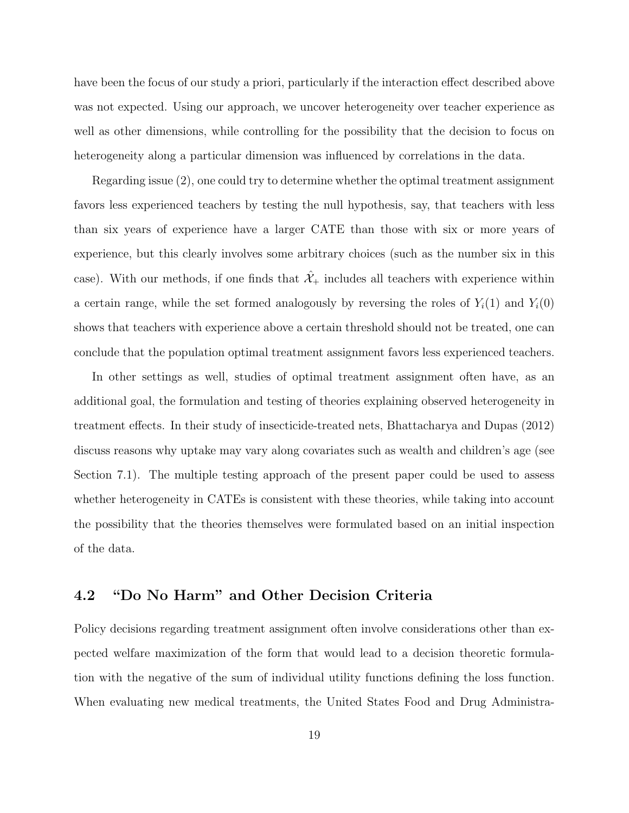have been the focus of our study a priori, particularly if the interaction effect described above was not expected. Using our approach, we uncover heterogeneity over teacher experience as well as other dimensions, while controlling for the possibility that the decision to focus on heterogeneity along a particular dimension was influenced by correlations in the data.

Regarding issue (2), one could try to determine whether the optimal treatment assignment favors less experienced teachers by testing the null hypothesis, say, that teachers with less than six years of experience have a larger CATE than those with six or more years of experience, but this clearly involves some arbitrary choices (such as the number six in this case). With our methods, if one finds that  $\hat{\mathcal{X}}_+$  includes all teachers with experience within a certain range, while the set formed analogously by reversing the roles of  $Y_i(1)$  and  $Y_i(0)$ shows that teachers with experience above a certain threshold should not be treated, one can conclude that the population optimal treatment assignment favors less experienced teachers.

In other settings as well, studies of optimal treatment assignment often have, as an additional goal, the formulation and testing of theories explaining observed heterogeneity in treatment effects. In their study of insecticide-treated nets, Bhattacharya and Dupas (2012) discuss reasons why uptake may vary along covariates such as wealth and children's age (see Section 7.1). The multiple testing approach of the present paper could be used to assess whether heterogeneity in CATEs is consistent with these theories, while taking into account the possibility that the theories themselves were formulated based on an initial inspection of the data.

#### 4.2 "Do No Harm" and Other Decision Criteria

Policy decisions regarding treatment assignment often involve considerations other than expected welfare maximization of the form that would lead to a decision theoretic formulation with the negative of the sum of individual utility functions defining the loss function. When evaluating new medical treatments, the United States Food and Drug Administra-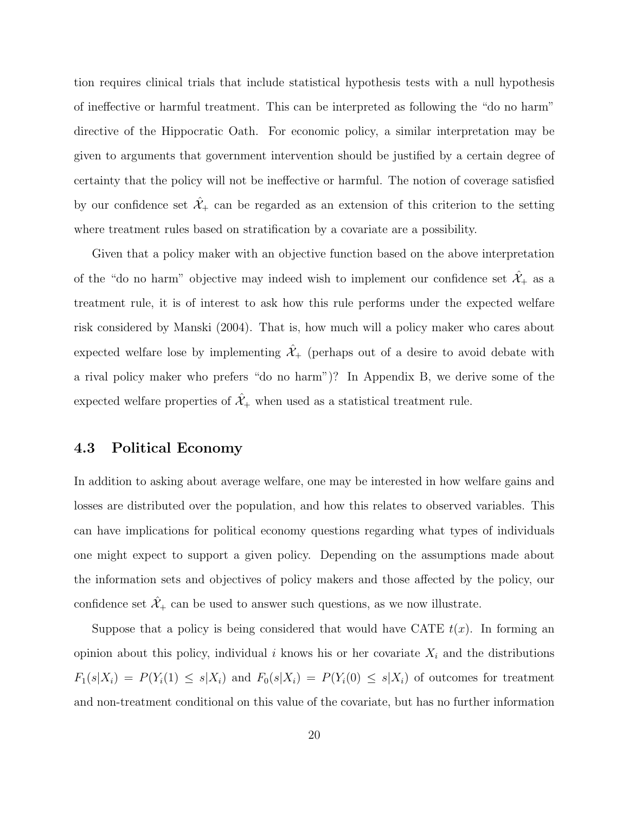tion requires clinical trials that include statistical hypothesis tests with a null hypothesis of ineffective or harmful treatment. This can be interpreted as following the "do no harm" directive of the Hippocratic Oath. For economic policy, a similar interpretation may be given to arguments that government intervention should be justified by a certain degree of certainty that the policy will not be ineffective or harmful. The notion of coverage satisfied by our confidence set  $\hat{\mathcal{X}}_+$  can be regarded as an extension of this criterion to the setting where treatment rules based on stratification by a covariate are a possibility.

Given that a policy maker with an objective function based on the above interpretation of the "do no harm" objective may indeed wish to implement our confidence set  $\mathcal{X}_+$  as a treatment rule, it is of interest to ask how this rule performs under the expected welfare risk considered by Manski (2004). That is, how much will a policy maker who cares about expected welfare lose by implementing  $\hat{\mathcal{X}}_+$  (perhaps out of a desire to avoid debate with a rival policy maker who prefers "do no harm")? In Appendix B, we derive some of the expected welfare properties of  $\hat{\mathcal{X}}_+$  when used as a statistical treatment rule.

#### 4.3 Political Economy

In addition to asking about average welfare, one may be interested in how welfare gains and losses are distributed over the population, and how this relates to observed variables. This can have implications for political economy questions regarding what types of individuals one might expect to support a given policy. Depending on the assumptions made about the information sets and objectives of policy makers and those affected by the policy, our confidence set  $\mathcal{X}_+$  can be used to answer such questions, as we now illustrate.

Suppose that a policy is being considered that would have CATE  $t(x)$ . In forming an opinion about this policy, individual i knows his or her covariate  $X_i$  and the distributions  $F_1(s|X_i) = P(Y_i(1) \le s|X_i)$  and  $F_0(s|X_i) = P(Y_i(0) \le s|X_i)$  of outcomes for treatment and non-treatment conditional on this value of the covariate, but has no further information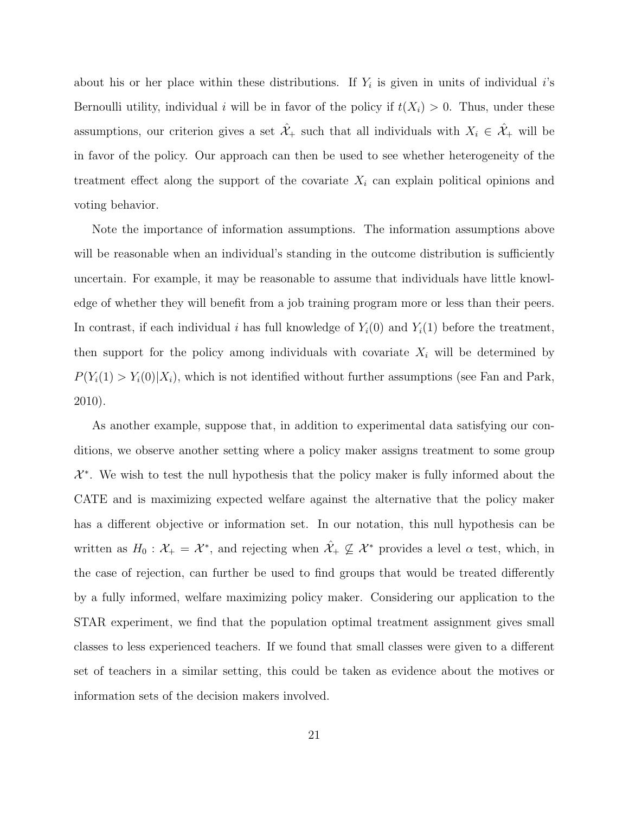about his or her place within these distributions. If  $Y_i$  is given in units of individual i's Bernoulli utility, individual i will be in favor of the policy if  $t(X_i) > 0$ . Thus, under these assumptions, our criterion gives a set  $\hat{\mathcal{X}}_+$  such that all individuals with  $X_i \in \hat{\mathcal{X}}_+$  will be in favor of the policy. Our approach can then be used to see whether heterogeneity of the treatment effect along the support of the covariate  $X_i$  can explain political opinions and voting behavior.

Note the importance of information assumptions. The information assumptions above will be reasonable when an individual's standing in the outcome distribution is sufficiently uncertain. For example, it may be reasonable to assume that individuals have little knowledge of whether they will benefit from a job training program more or less than their peers. In contrast, if each individual i has full knowledge of  $Y_i(0)$  and  $Y_i(1)$  before the treatment, then support for the policy among individuals with covariate  $X_i$  will be determined by  $P(Y_i(1) > Y_i(0) | X_i)$ , which is not identified without further assumptions (see Fan and Park, 2010).

As another example, suppose that, in addition to experimental data satisfying our conditions, we observe another setting where a policy maker assigns treatment to some group  $\mathcal{X}^*$ . We wish to test the null hypothesis that the policy maker is fully informed about the CATE and is maximizing expected welfare against the alternative that the policy maker has a different objective or information set. In our notation, this null hypothesis can be written as  $H_0: \mathcal{X}_+ = \mathcal{X}^*$ , and rejecting when  $\hat{\mathcal{X}}_+ \not\subseteq \mathcal{X}^*$  provides a level  $\alpha$  test, which, in the case of rejection, can further be used to find groups that would be treated differently by a fully informed, welfare maximizing policy maker. Considering our application to the STAR experiment, we find that the population optimal treatment assignment gives small classes to less experienced teachers. If we found that small classes were given to a different set of teachers in a similar setting, this could be taken as evidence about the motives or information sets of the decision makers involved.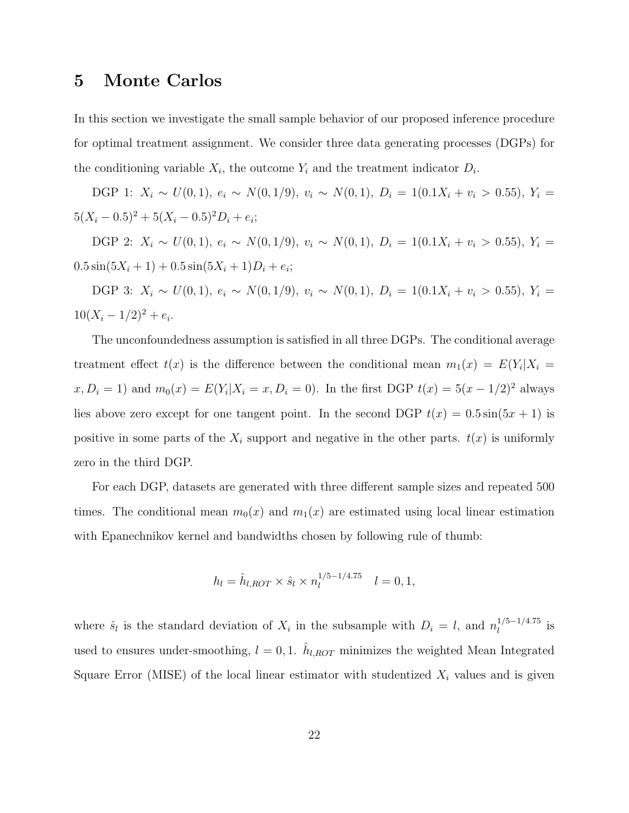### 5 Monte Carlos

In this section we investigate the small sample behavior of our proposed inference procedure for optimal treatment assignment. We consider three data generating processes (DGPs) for the conditioning variable  $X_i$ , the outcome  $Y_i$  and the treatment indicator  $D_i$ .

DGP 1:  $X_i \sim U(0, 1)$ ,  $e_i \sim N(0, 1/9)$ ,  $v_i \sim N(0, 1)$ ,  $D_i = 1(0.1X_i + v_i > 0.55)$ ,  $Y_i =$  $5(X_i - 0.5)^2 + 5(X_i - 0.5)^2 D_i + e_i;$ 

DGP 2:  $X_i \sim U(0, 1)$ ,  $e_i \sim N(0, 1/9)$ ,  $v_i \sim N(0, 1)$ ,  $D_i = 1(0.1X_i + v_i > 0.55)$ ,  $Y_i =$  $0.5\sin(5X_i+1)+0.5\sin(5X_i+1)D_i+e_i;$ 

DGP 3:  $X_i \sim U(0, 1)$ ,  $e_i \sim N(0, 1/9)$ ,  $v_i \sim N(0, 1)$ ,  $D_i = 1(0.1X_i + v_i > 0.55)$ ,  $Y_i =$  $10(X_i - 1/2)^2 + e_i$ .

The unconfoundedness assumption is satisfied in all three DGPs. The conditional average treatment effect  $t(x)$  is the difference between the conditional mean  $m_1(x) = E(Y_i | X_i =$  $x, D_i = 1$  and  $m_0(x) = E(Y_i | X_i = x, D_i = 0)$ . In the first DGP  $t(x) = 5(x - 1/2)^2$  always lies above zero except for one tangent point. In the second DGP  $t(x) = 0.5 \sin(5x + 1)$  is positive in some parts of the  $X_i$  support and negative in the other parts.  $t(x)$  is uniformly zero in the third DGP.

For each DGP, datasets are generated with three different sample sizes and repeated 500 times. The conditional mean  $m_0(x)$  and  $m_1(x)$  are estimated using local linear estimation with Epanechnikov kernel and bandwidths chosen by following rule of thumb:

$$
h_l = \hat{h}_{l,ROT} \times \hat{s}_l \times n_l^{1/5 - 1/4.75} \quad l = 0, 1,
$$

where  $\hat{s}_l$  is the standard deviation of  $X_i$  in the subsample with  $D_i = l$ , and  $n_l^{1/5-1/4.75}$  $\frac{1}{l}$ <sup>1/3-1/4.13</sup> is used to ensures under-smoothing,  $l = 0, 1$ .  $\hat{h}_{l,ROT}$  minimizes the weighted Mean Integrated Square Error (MISE) of the local linear estimator with studentized  $X_i$  values and is given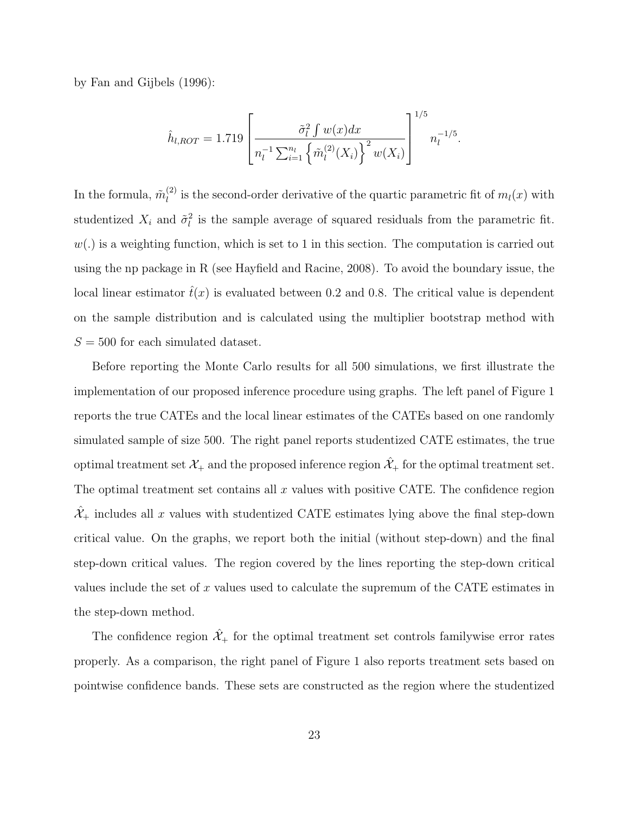by Fan and Gijbels (1996):

$$
\hat{h}_{l,ROT} = 1.719 \left[ \frac{\tilde{\sigma}_l^2 \int w(x) dx}{n_l^{-1} \sum_{i=1}^{n_l} \left\{ \tilde{m}_l^{(2)}(X_i) \right\}^2 w(X_i)} \right]^{1/5} n_l^{-1/5}.
$$

In the formula,  $\tilde{m}_l^{(2)}$  $\ell_l^{(2)}$  is the second-order derivative of the quartic parametric fit of  $m_l(x)$  with studentized  $X_i$  and  $\tilde{\sigma}_l^2$  is the sample average of squared residuals from the parametric fit.  $w(.)$  is a weighting function, which is set to 1 in this section. The computation is carried out using the np package in R (see Hayfield and Racine, 2008). To avoid the boundary issue, the local linear estimator  $\hat{t}(x)$  is evaluated between 0.2 and 0.8. The critical value is dependent on the sample distribution and is calculated using the multiplier bootstrap method with  $S = 500$  for each simulated dataset.

Before reporting the Monte Carlo results for all 500 simulations, we first illustrate the implementation of our proposed inference procedure using graphs. The left panel of Figure 1 reports the true CATEs and the local linear estimates of the CATEs based on one randomly simulated sample of size 500. The right panel reports studentized CATE estimates, the true optimal treatment set  $\mathcal{X}_+$  and the proposed inference region  $\hat{\mathcal{X}}_+$  for the optimal treatment set. The optimal treatment set contains all  $x$  values with positive CATE. The confidence region  $\mathcal{X}_+$  includes all x values with studentized CATE estimates lying above the final step-down critical value. On the graphs, we report both the initial (without step-down) and the final step-down critical values. The region covered by the lines reporting the step-down critical values include the set of x values used to calculate the supremum of the CATE estimates in the step-down method.

The confidence region  $\hat{\mathcal{X}}_+$  for the optimal treatment set controls familywise error rates properly. As a comparison, the right panel of Figure 1 also reports treatment sets based on pointwise confidence bands. These sets are constructed as the region where the studentized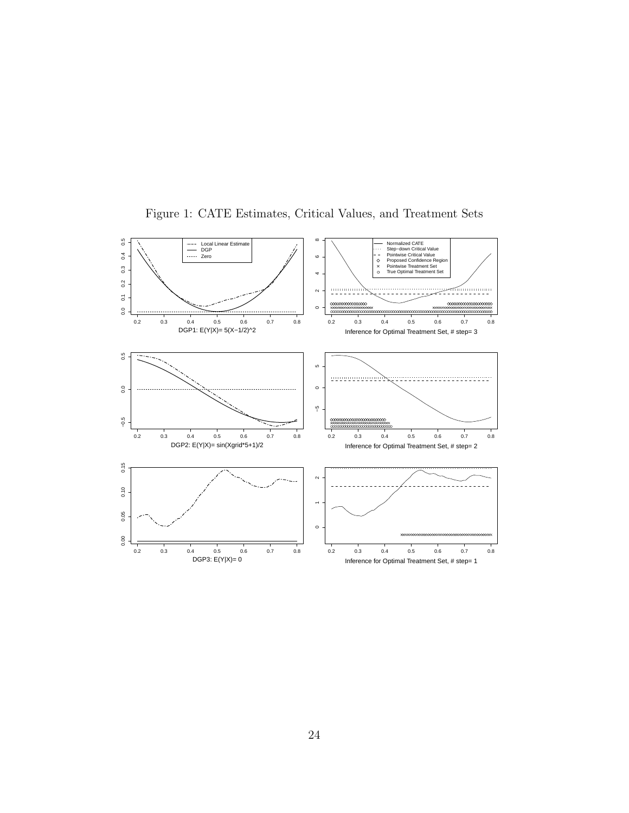

Figure 1: CATE Estimates, Critical Values, and Treatment Sets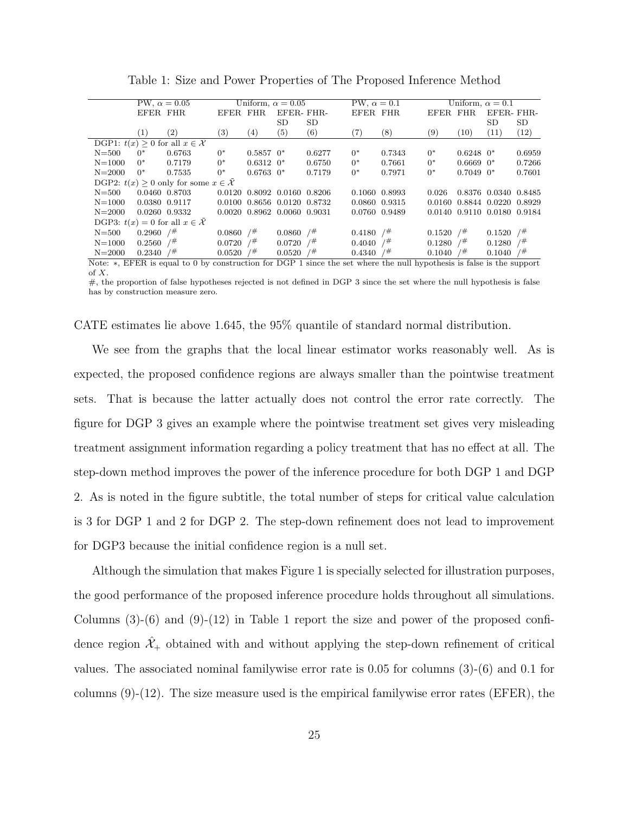Table 1: Size and Power Properties of The Proposed Inference Method

|                                              | PW, $\alpha = 0.05$     |                                                                                                                     | Uniform, $\alpha = 0.05$ |               |                             | PW, $\alpha = 0.1$ |                         | Uniform, $\alpha = 0.1$ |                         |                |                             |        |
|----------------------------------------------|-------------------------|---------------------------------------------------------------------------------------------------------------------|--------------------------|---------------|-----------------------------|--------------------|-------------------------|-------------------------|-------------------------|----------------|-----------------------------|--------|
|                                              | EFER FHR                |                                                                                                                     | EFER FHR                 |               | EFER-FHR-                   |                    | EFER FHR                |                         | EFER FHR                |                | EFER-FHR-                   |        |
|                                              |                         |                                                                                                                     |                          |               | <b>SD</b>                   | SD                 |                         |                         |                         |                | <b>SD</b>                   | SD     |
|                                              | (1)                     | (2)                                                                                                                 | $\left( 3\right)$        | (4)           | (5)                         | (6)                | (7)                     | $^{(8)}$                | (9)                     | (10)           | (11)                        | (12)   |
| DGP1: $t(x) > 0$ for all $x \in \mathcal{X}$ |                         |                                                                                                                     |                          |               |                             |                    |                         |                         |                         |                |                             |        |
| $N = 500$                                    | $0^*$                   | 0.6763                                                                                                              | $0^*$                    | $0.5857$ $0*$ |                             | 0.6277             | $0^*$                   | 0.7343                  | $0^*$                   | $0.6248$ $0*$  |                             | 0.6959 |
| $N = 1000$                                   | $0^*$                   | 0.7179                                                                                                              | $0^*$                    | $0.6312$ $0*$ |                             | 0.6750             | $0^*$                   | 0.7661                  | $0^*$                   | $0.6669$ $0*$  |                             | 0.7266 |
| $N = 2000$                                   | $0^*$                   | 0.7535                                                                                                              | $0^*$                    | $0.6763$ $0*$ |                             | 0.7179             | $0^*$                   | 0.7971                  | $0^*$                   | $0.7049$ $0^*$ |                             | 0.7601 |
|                                              |                         | DGP2: $t(x) \geq 0$ only for some $x \in \mathcal{X}$                                                               |                          |               |                             |                    |                         |                         |                         |                |                             |        |
| $N = 500$                                    | 0.0460 0.8703           |                                                                                                                     |                          |               | 0.0120 0.8092 0.0160 0.8206 |                    | 0.1060 0.8993           |                         | 0.026                   |                | 0.8376 0.0340 0.8485        |        |
| $N = 1000$                                   | 0.0380 0.9117           |                                                                                                                     |                          |               | 0.0100 0.8656 0.0120 0.8732 |                    | 0.0860 0.9315           |                         |                         |                | 0.0160 0.8844 0.0220 0.8929 |        |
| $N = 2000$                                   | 0.0260 0.9332           |                                                                                                                     |                          |               | 0.0020 0.8962 0.0060 0.9031 |                    | 0.0760 0.9489           |                         |                         |                | 0.0140 0.9110 0.0180 0.9184 |        |
| DGP3: $t(x) = 0$ for all $x \in \mathcal{X}$ |                         |                                                                                                                     |                          |               |                             |                    |                         |                         |                         |                |                             |        |
| $N = 500$                                    | $0.2960$ / <sup>#</sup> |                                                                                                                     | $0.0860$ / <sup>#</sup>  |               | $0.0860$ / <sup>#</sup>     |                    | $0.4180$ / <sup>#</sup> |                         | $0.1520$ / <sup>#</sup> |                | $0.1520$ / <sup>#</sup>     |        |
| $N = 1000$                                   | $0.2560$ / <sup>#</sup> |                                                                                                                     | $0.0720$ / <sup>#</sup>  |               | $0.0720$ / <sup>#</sup>     |                    | $0.4040$ / <sup>#</sup> |                         | 0.1280                  | /#             | 0.1280                      | $/$ #  |
| $N = 2000$                                   | $0.2340$ / <sup>#</sup> |                                                                                                                     | $0.0520$ / <sup>#</sup>  |               | $0.0520$ /#                 |                    | $0.4340$ / <sup>#</sup> |                         | 0.1040                  | /#             | 0.1040                      | 7#     |
|                                              |                         | Note a FFFP is equal to 0 by construction for DCP 1 since the set where the pull bypathesis is folge is the support |                          |               |                             |                    |                         |                         |                         |                |                             |        |

Note: ∗, EFER is equal to 0 by construction for DGP 1 since the set where the null hypothesis is false is the support of X.

 $#$ , the proportion of false hypotheses rejected is not defined in DGP 3 since the set where the null hypothesis is false has by construction measure zero.

CATE estimates lie above 1.645, the 95% quantile of standard normal distribution.

We see from the graphs that the local linear estimator works reasonably well. As is expected, the proposed confidence regions are always smaller than the pointwise treatment sets. That is because the latter actually does not control the error rate correctly. The figure for DGP 3 gives an example where the pointwise treatment set gives very misleading treatment assignment information regarding a policy treatment that has no effect at all. The step-down method improves the power of the inference procedure for both DGP 1 and DGP 2. As is noted in the figure subtitle, the total number of steps for critical value calculation is 3 for DGP 1 and 2 for DGP 2. The step-down refinement does not lead to improvement for DGP3 because the initial confidence region is a null set.

Although the simulation that makes Figure 1 is specially selected for illustration purposes, the good performance of the proposed inference procedure holds throughout all simulations. Columns  $(3)-(6)$  and  $(9)-(12)$  in Table 1 report the size and power of the proposed confidence region  $\mathcal{X}_+$  obtained with and without applying the step-down refinement of critical values. The associated nominal familywise error rate is 0.05 for columns (3)-(6) and 0.1 for columns  $(9)-(12)$ . The size measure used is the empirical familywise error rates (EFER), the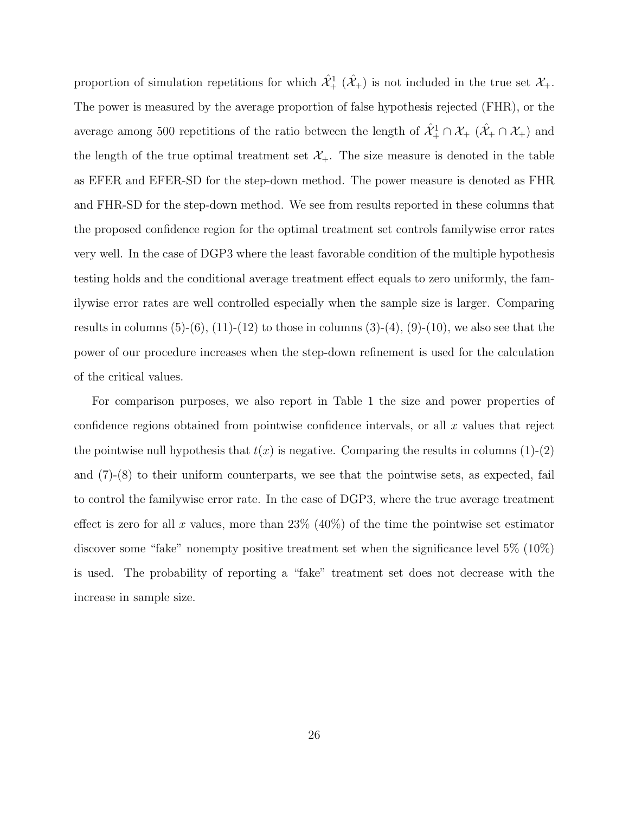proportion of simulation repetitions for which  $\hat{\mathcal{X}}_+^1$  ( $\hat{\mathcal{X}}_+$ ) is not included in the true set  $\mathcal{X}_+$ . The power is measured by the average proportion of false hypothesis rejected (FHR), or the average among 500 repetitions of the ratio between the length of  $\hat{X}^1_+\cap\hat{X}_+\;(\hat{X}_+\cap\hat{X}_+)$  and the length of the true optimal treatment set  $\mathcal{X}_+$ . The size measure is denoted in the table as EFER and EFER-SD for the step-down method. The power measure is denoted as FHR and FHR-SD for the step-down method. We see from results reported in these columns that the proposed confidence region for the optimal treatment set controls familywise error rates very well. In the case of DGP3 where the least favorable condition of the multiple hypothesis testing holds and the conditional average treatment effect equals to zero uniformly, the familywise error rates are well controlled especially when the sample size is larger. Comparing results in columns  $(5)-(6)$ ,  $(11)-(12)$  to those in columns  $(3)-(4)$ ,  $(9)-(10)$ , we also see that the power of our procedure increases when the step-down refinement is used for the calculation of the critical values.

For comparison purposes, we also report in Table 1 the size and power properties of confidence regions obtained from pointwise confidence intervals, or all  $x$  values that reject the pointwise null hypothesis that  $t(x)$  is negative. Comparing the results in columns (1)-(2) and  $(7)-(8)$  to their uniform counterparts, we see that the pointwise sets, as expected, fail to control the familywise error rate. In the case of DGP3, where the true average treatment effect is zero for all x values, more than  $23\%$  (40%) of the time the pointwise set estimator discover some "fake" nonempty positive treatment set when the significance level 5% (10%) is used. The probability of reporting a "fake" treatment set does not decrease with the increase in sample size.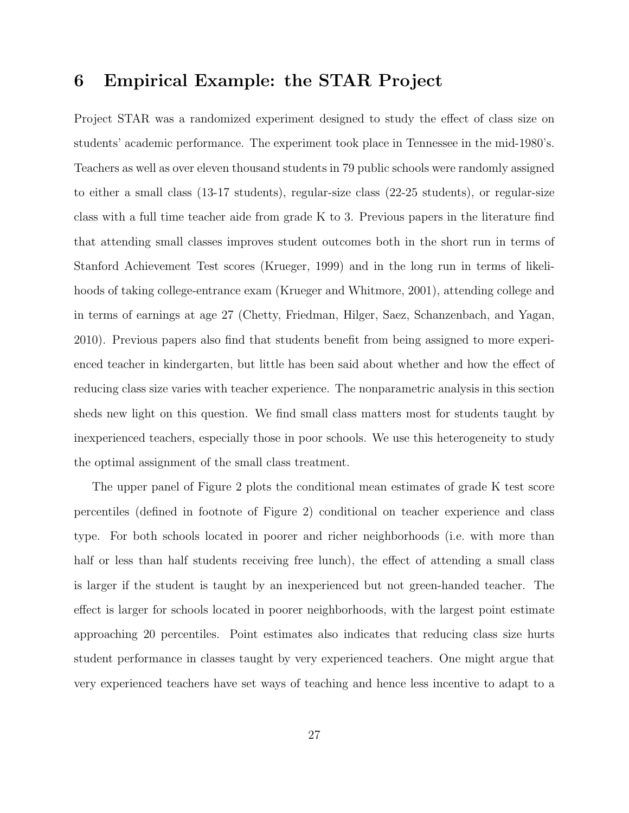## 6 Empirical Example: the STAR Project

Project STAR was a randomized experiment designed to study the effect of class size on students' academic performance. The experiment took place in Tennessee in the mid-1980's. Teachers as well as over eleven thousand students in 79 public schools were randomly assigned to either a small class (13-17 students), regular-size class (22-25 students), or regular-size class with a full time teacher aide from grade K to 3. Previous papers in the literature find that attending small classes improves student outcomes both in the short run in terms of Stanford Achievement Test scores (Krueger, 1999) and in the long run in terms of likelihoods of taking college-entrance exam (Krueger and Whitmore, 2001), attending college and in terms of earnings at age 27 (Chetty, Friedman, Hilger, Saez, Schanzenbach, and Yagan, 2010). Previous papers also find that students benefit from being assigned to more experienced teacher in kindergarten, but little has been said about whether and how the effect of reducing class size varies with teacher experience. The nonparametric analysis in this section sheds new light on this question. We find small class matters most for students taught by inexperienced teachers, especially those in poor schools. We use this heterogeneity to study the optimal assignment of the small class treatment.

The upper panel of Figure 2 plots the conditional mean estimates of grade K test score percentiles (defined in footnote of Figure 2) conditional on teacher experience and class type. For both schools located in poorer and richer neighborhoods (i.e. with more than half or less than half students receiving free lunch), the effect of attending a small class is larger if the student is taught by an inexperienced but not green-handed teacher. The effect is larger for schools located in poorer neighborhoods, with the largest point estimate approaching 20 percentiles. Point estimates also indicates that reducing class size hurts student performance in classes taught by very experienced teachers. One might argue that very experienced teachers have set ways of teaching and hence less incentive to adapt to a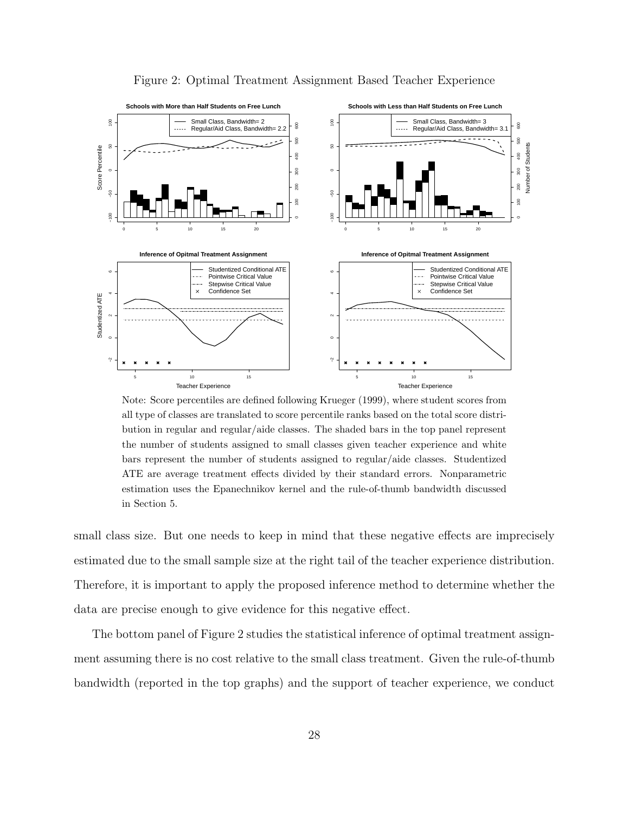

Figure 2: Optimal Treatment Assignment Based Teacher Experience

Note: Score percentiles are defined following Krueger (1999), where student scores from all type of classes are translated to score percentile ranks based on the total score distribution in regular and regular/aide classes. The shaded bars in the top panel represent the number of students assigned to small classes given teacher experience and white bars represent the number of students assigned to regular/aide classes. Studentized ATE are average treatment effects divided by their standard errors. Nonparametric estimation uses the Epanechnikov kernel and the rule-of-thumb bandwidth discussed in Section 5.

small class size. But one needs to keep in mind that these negative effects are imprecisely estimated due to the small sample size at the right tail of the teacher experience distribution. Therefore, it is important to apply the proposed inference method to determine whether the data are precise enough to give evidence for this negative effect.

The bottom panel of Figure 2 studies the statistical inference of optimal treatment assignment assuming there is no cost relative to the small class treatment. Given the rule-of-thumb bandwidth (reported in the top graphs) and the support of teacher experience, we conduct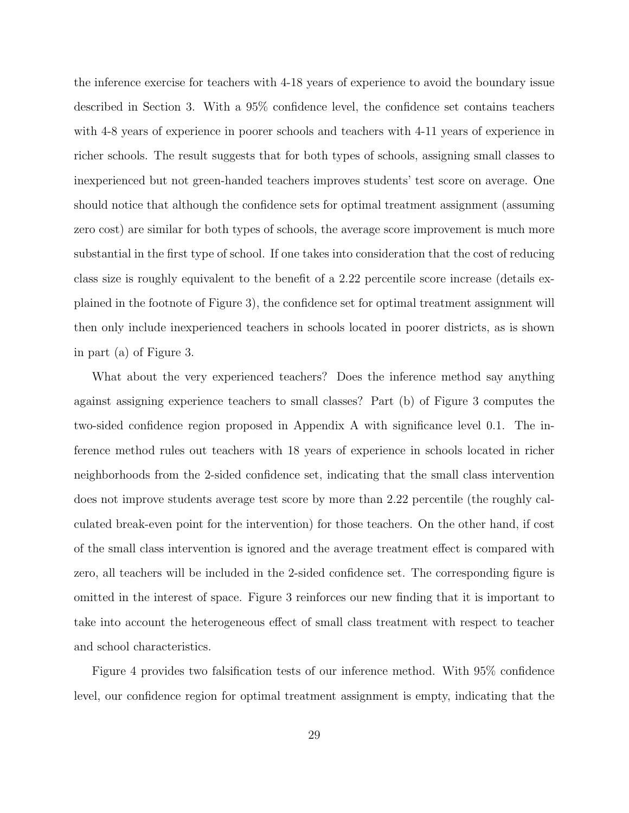the inference exercise for teachers with 4-18 years of experience to avoid the boundary issue described in Section 3. With a 95% confidence level, the confidence set contains teachers with 4-8 years of experience in poorer schools and teachers with 4-11 years of experience in richer schools. The result suggests that for both types of schools, assigning small classes to inexperienced but not green-handed teachers improves students' test score on average. One should notice that although the confidence sets for optimal treatment assignment (assuming zero cost) are similar for both types of schools, the average score improvement is much more substantial in the first type of school. If one takes into consideration that the cost of reducing class size is roughly equivalent to the benefit of a 2.22 percentile score increase (details explained in the footnote of Figure 3), the confidence set for optimal treatment assignment will then only include inexperienced teachers in schools located in poorer districts, as is shown in part (a) of Figure 3.

What about the very experienced teachers? Does the inference method say anything against assigning experience teachers to small classes? Part (b) of Figure 3 computes the two-sided confidence region proposed in Appendix A with significance level 0.1. The inference method rules out teachers with 18 years of experience in schools located in richer neighborhoods from the 2-sided confidence set, indicating that the small class intervention does not improve students average test score by more than 2.22 percentile (the roughly calculated break-even point for the intervention) for those teachers. On the other hand, if cost of the small class intervention is ignored and the average treatment effect is compared with zero, all teachers will be included in the 2-sided confidence set. The corresponding figure is omitted in the interest of space. Figure 3 reinforces our new finding that it is important to take into account the heterogeneous effect of small class treatment with respect to teacher and school characteristics.

Figure 4 provides two falsification tests of our inference method. With 95% confidence level, our confidence region for optimal treatment assignment is empty, indicating that the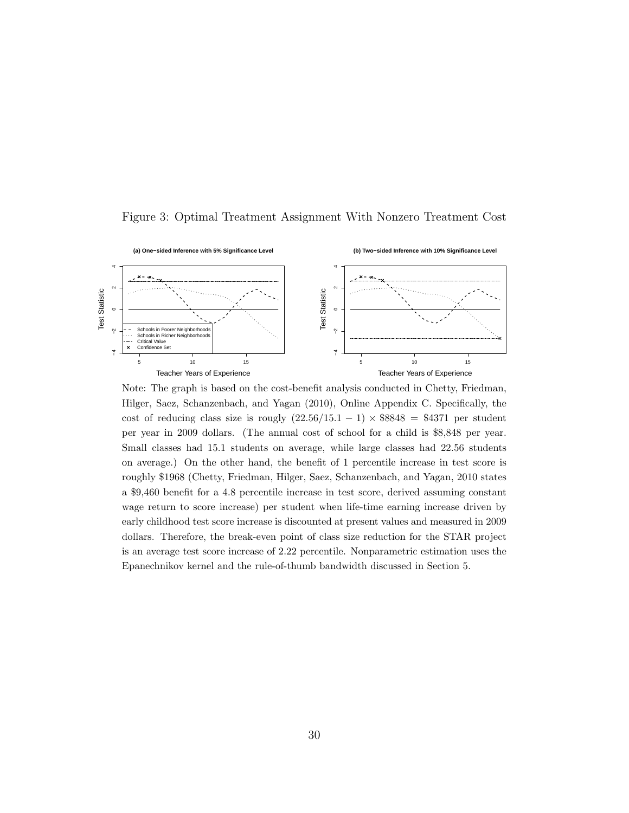

Figure 3: Optimal Treatment Assignment With Nonzero Treatment Cost

Note: The graph is based on the cost-benefit analysis conducted in Chetty, Friedman, Hilger, Saez, Schanzenbach, and Yagan (2010), Online Appendix C. Specifically, the cost of reducing class size is rougly  $(22.56/15.1 - 1) \times $8848 = $4371$  per student per year in 2009 dollars. (The annual cost of school for a child is \$8,848 per year. Small classes had 15.1 students on average, while large classes had 22.56 students on average.) On the other hand, the benefit of 1 percentile increase in test score is roughly \$1968 (Chetty, Friedman, Hilger, Saez, Schanzenbach, and Yagan, 2010 states a \$9,460 benefit for a 4.8 percentile increase in test score, derived assuming constant wage return to score increase) per student when life-time earning increase driven by early childhood test score increase is discounted at present values and measured in 2009 dollars. Therefore, the break-even point of class size reduction for the STAR project is an average test score increase of 2.22 percentile. Nonparametric estimation uses the Epanechnikov kernel and the rule-of-thumb bandwidth discussed in Section 5.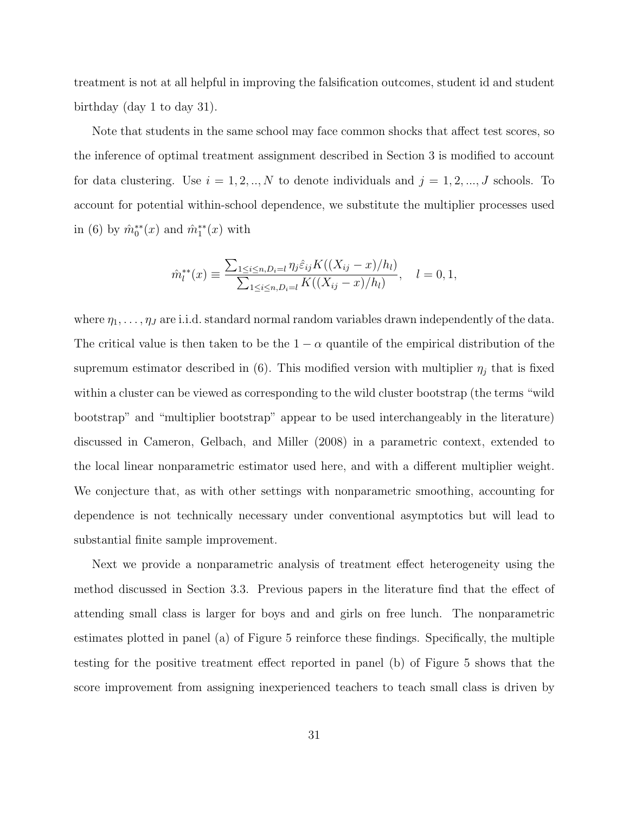treatment is not at all helpful in improving the falsification outcomes, student id and student birthday (day 1 to day 31).

Note that students in the same school may face common shocks that affect test scores, so the inference of optimal treatment assignment described in Section 3 is modified to account for data clustering. Use  $i = 1, 2, ..., N$  to denote individuals and  $j = 1, 2, ..., J$  schools. To account for potential within-school dependence, we substitute the multiplier processes used in (6) by  $\hat{m}_0^{**}(x)$  and  $\hat{m}_1^{**}(x)$  with

$$
\hat{m}_l^{**}(x) \equiv \frac{\sum_{1 \le i \le n, D_i = l} \eta_j \hat{\varepsilon}_{ij} K((X_{ij} - x)/h_l)}{\sum_{1 \le i \le n, D_i = l} K((X_{ij} - x)/h_l)}, \quad l = 0, 1,
$$

where  $\eta_1, \ldots, \eta_J$  are i.i.d. standard normal random variables drawn independently of the data. The critical value is then taken to be the  $1 - \alpha$  quantile of the empirical distribution of the supremum estimator described in (6). This modified version with multiplier  $\eta_j$  that is fixed within a cluster can be viewed as corresponding to the wild cluster bootstrap (the terms "wild bootstrap" and "multiplier bootstrap" appear to be used interchangeably in the literature) discussed in Cameron, Gelbach, and Miller (2008) in a parametric context, extended to the local linear nonparametric estimator used here, and with a different multiplier weight. We conjecture that, as with other settings with nonparametric smoothing, accounting for dependence is not technically necessary under conventional asymptotics but will lead to substantial finite sample improvement.

Next we provide a nonparametric analysis of treatment effect heterogeneity using the method discussed in Section 3.3. Previous papers in the literature find that the effect of attending small class is larger for boys and and girls on free lunch. The nonparametric estimates plotted in panel (a) of Figure 5 reinforce these findings. Specifically, the multiple testing for the positive treatment effect reported in panel (b) of Figure 5 shows that the score improvement from assigning inexperienced teachers to teach small class is driven by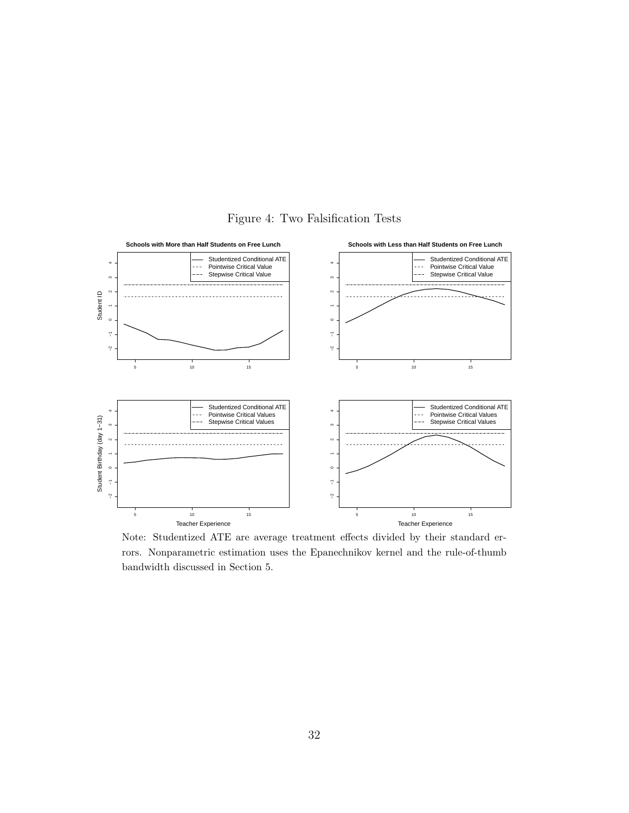

Figure 4: Two Falsification Tests

Note: Studentized ATE are average treatment effects divided by their standard errors. Nonparametric estimation uses the Epanechnikov kernel and the rule-of-thumb bandwidth discussed in Section 5.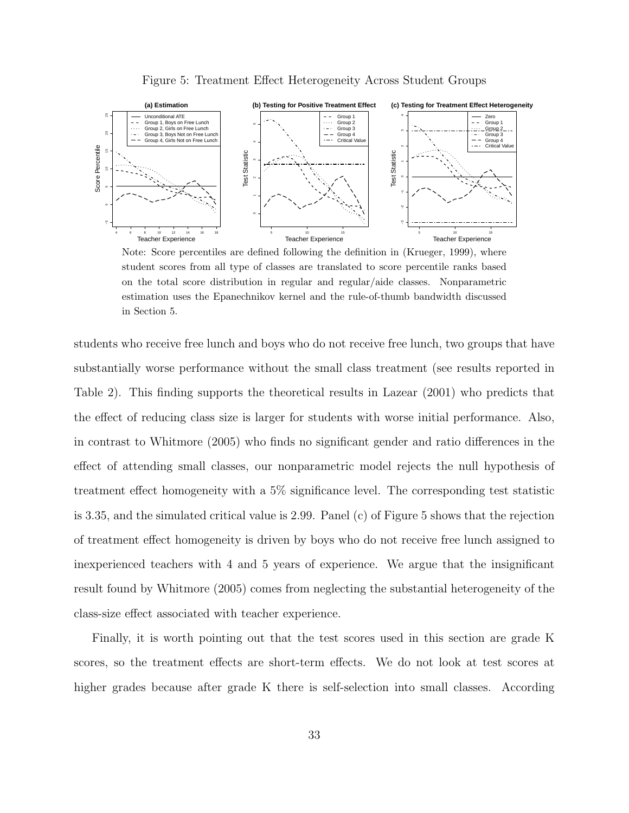

Figure 5: Treatment Effect Heterogeneity Across Student Groups

Note: Score percentiles are defined following the definition in (Krueger, 1999), where student scores from all type of classes are translated to score percentile ranks based on the total score distribution in regular and regular/aide classes. Nonparametric estimation uses the Epanechnikov kernel and the rule-of-thumb bandwidth discussed in Section 5.

students who receive free lunch and boys who do not receive free lunch, two groups that have substantially worse performance without the small class treatment (see results reported in Table 2). This finding supports the theoretical results in Lazear (2001) who predicts that the effect of reducing class size is larger for students with worse initial performance. Also, in contrast to Whitmore (2005) who finds no significant gender and ratio differences in the effect of attending small classes, our nonparametric model rejects the null hypothesis of treatment effect homogeneity with a 5% significance level. The corresponding test statistic is 3.35, and the simulated critical value is 2.99. Panel (c) of Figure 5 shows that the rejection of treatment effect homogeneity is driven by boys who do not receive free lunch assigned to inexperienced teachers with 4 and 5 years of experience. We argue that the insignificant result found by Whitmore (2005) comes from neglecting the substantial heterogeneity of the class-size effect associated with teacher experience.

Finally, it is worth pointing out that the test scores used in this section are grade K scores, so the treatment effects are short-term effects. We do not look at test scores at higher grades because after grade K there is self-selection into small classes. According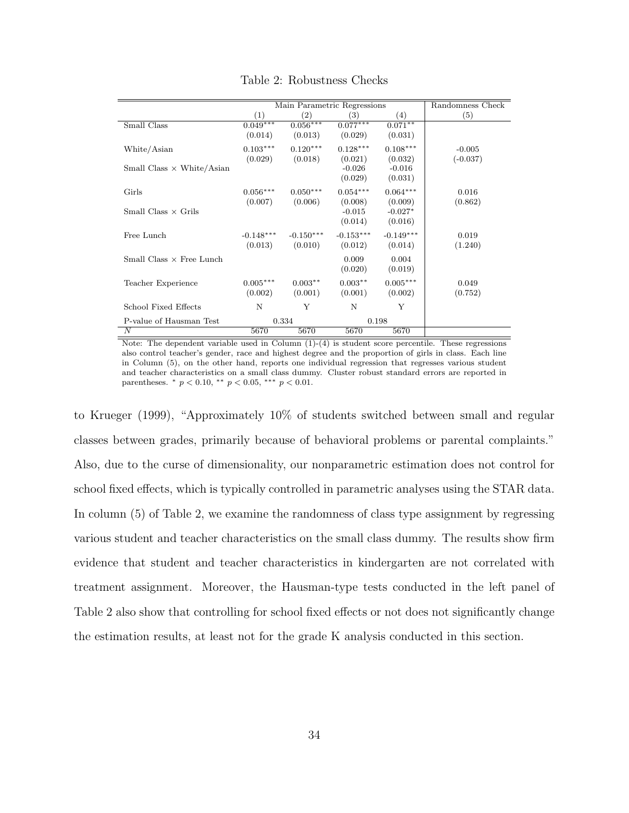|                                  |             | Main Parametric Regressions | Randomness Check |                   |            |
|----------------------------------|-------------|-----------------------------|------------------|-------------------|------------|
|                                  | (1)         | (2)                         | (3)              | $\left( 4\right)$ | (5)        |
| Small Class                      | $0.049***$  | $0.056***$                  | $0.077***$       | $0.071***$        |            |
|                                  | (0.014)     | (0.013)                     | (0.029)          | (0.031)           |            |
| White/Asian                      | $0.103***$  | $0.120***$                  | $0.128***$       | $0.108***$        | $-0.005$   |
|                                  | (0.029)     | (0.018)                     | (0.021)          | (0.032)           | $(-0.037)$ |
| Small Class $\times$ White/Asian |             |                             | $-0.026$         | $-0.016$          |            |
|                                  |             |                             | (0.029)          | (0.031)           |            |
| Girls                            | $0.056***$  | $0.050***$                  | $0.054***$       | $0.064***$        | 0.016      |
|                                  | (0.007)     | (0.006)                     | (0.008)          | (0.009)           | (0.862)    |
| Small Class $\times$ Grils       |             |                             | $-0.015$         | $-0.027*$         |            |
|                                  |             |                             | (0.014)          | (0.016)           |            |
| Free Lunch                       | $-0.148***$ | $-0.150***$                 | $-0.153***$      | $-0.149***$       | 0.019      |
|                                  | (0.013)     | (0.010)                     | (0.012)          | (0.014)           | (1.240)    |
| Small Class $\times$ Free Lunch  |             |                             | 0.009            | 0.004             |            |
|                                  |             |                             | (0.020)          | (0.019)           |            |
| Teacher Experience               | $0.005***$  | $0.003**$                   | $0.003**$        | $0.005***$        | 0.049      |
|                                  | (0.002)     | (0.001)                     | (0.001)          | (0.002)           | (0.752)    |
| School Fixed Effects             | N           | Y                           | N                | Y                 |            |
| P-value of Hausman Test          |             | 0.334                       |                  | 0.198             |            |
| N                                | 5670        | 5670                        | 5670             | 5670              |            |

Table 2: Robustness Checks

Note: The dependent variable used in Column  $(1)-(4)$  is student score percentile. These regressions also control teacher's gender, race and highest degree and the proportion of girls in class. Each line in Column (5), on the other hand, reports one individual regression that regresses various student and teacher characteristics on a small class dummy. Cluster robust standard errors are reported in parentheses.  $*$   $p < 0.10$ ,  $**$   $p < 0.05$ ,  $***$   $p < 0.01$ .

to Krueger (1999), "Approximately 10% of students switched between small and regular classes between grades, primarily because of behavioral problems or parental complaints." Also, due to the curse of dimensionality, our nonparametric estimation does not control for school fixed effects, which is typically controlled in parametric analyses using the STAR data. In column (5) of Table 2, we examine the randomness of class type assignment by regressing various student and teacher characteristics on the small class dummy. The results show firm evidence that student and teacher characteristics in kindergarten are not correlated with treatment assignment. Moreover, the Hausman-type tests conducted in the left panel of Table 2 also show that controlling for school fixed effects or not does not significantly change the estimation results, at least not for the grade K analysis conducted in this section.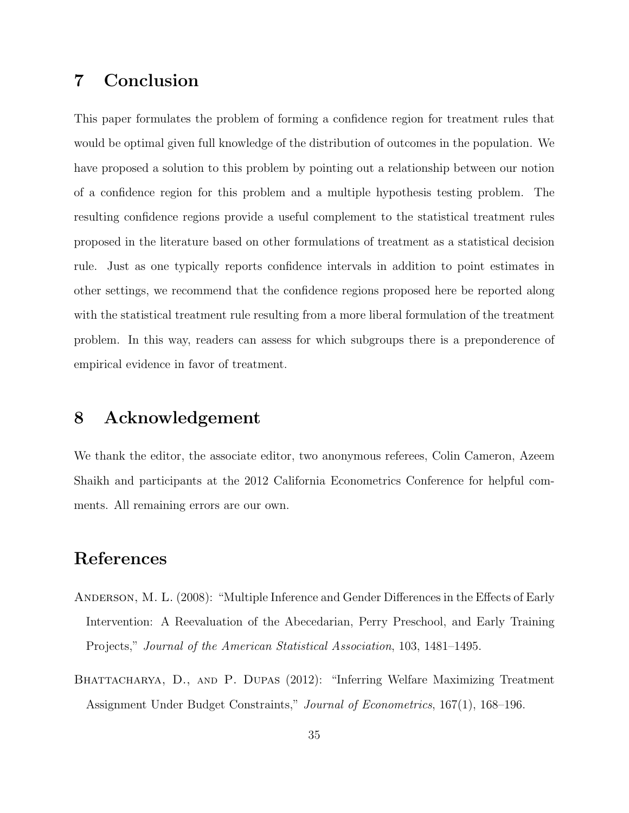## 7 Conclusion

This paper formulates the problem of forming a confidence region for treatment rules that would be optimal given full knowledge of the distribution of outcomes in the population. We have proposed a solution to this problem by pointing out a relationship between our notion of a confidence region for this problem and a multiple hypothesis testing problem. The resulting confidence regions provide a useful complement to the statistical treatment rules proposed in the literature based on other formulations of treatment as a statistical decision rule. Just as one typically reports confidence intervals in addition to point estimates in other settings, we recommend that the confidence regions proposed here be reported along with the statistical treatment rule resulting from a more liberal formulation of the treatment problem. In this way, readers can assess for which subgroups there is a preponderence of empirical evidence in favor of treatment.

### 8 Acknowledgement

We thank the editor, the associate editor, two anonymous referees, Colin Cameron, Azeem Shaikh and participants at the 2012 California Econometrics Conference for helpful comments. All remaining errors are our own.

### References

- Anderson, M. L. (2008): "Multiple Inference and Gender Differences in the Effects of Early Intervention: A Reevaluation of the Abecedarian, Perry Preschool, and Early Training Projects," Journal of the American Statistical Association, 103, 1481–1495.
- BHATTACHARYA, D., AND P. DUPAS (2012): "Inferring Welfare Maximizing Treatment Assignment Under Budget Constraints," Journal of Econometrics, 167(1), 168–196.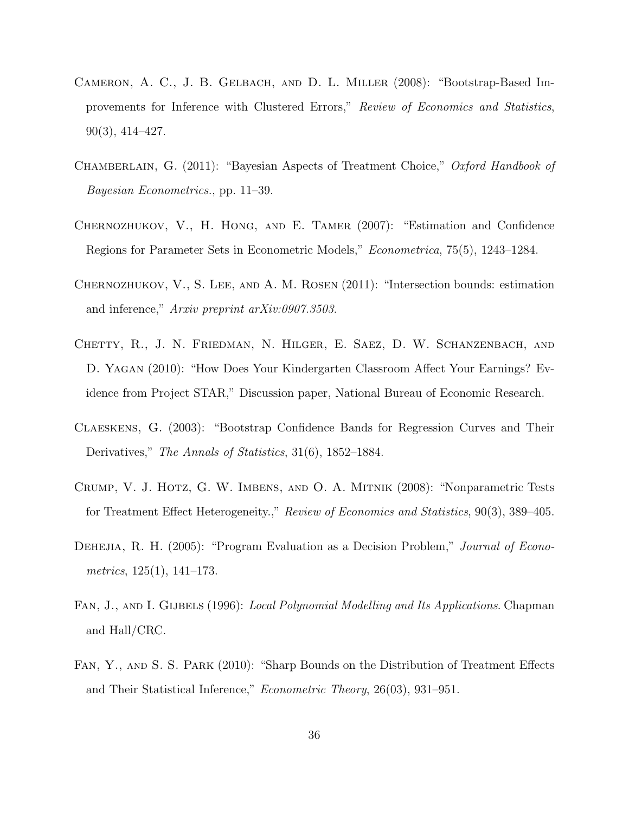- Cameron, A. C., J. B. Gelbach, and D. L. Miller (2008): "Bootstrap-Based Improvements for Inference with Clustered Errors," Review of Economics and Statistics, 90(3), 414–427.
- CHAMBERLAIN, G. (2011): "Bayesian Aspects of Treatment Choice," Oxford Handbook of Bayesian Econometrics., pp. 11–39.
- Chernozhukov, V., H. Hong, and E. Tamer (2007): "Estimation and Confidence Regions for Parameter Sets in Econometric Models," Econometrica, 75(5), 1243–1284.
- Chernozhukov, V., S. Lee, and A. M. Rosen (2011): "Intersection bounds: estimation and inference," Arxiv preprint arXiv:0907.3503.
- Chetty, R., J. N. Friedman, N. Hilger, E. Saez, D. W. Schanzenbach, and D. Yagan (2010): "How Does Your Kindergarten Classroom Affect Your Earnings? Evidence from Project STAR," Discussion paper, National Bureau of Economic Research.
- Claeskens, G. (2003): "Bootstrap Confidence Bands for Regression Curves and Their Derivatives," The Annals of Statistics, 31(6), 1852–1884.
- Crump, V. J. Hotz, G. W. Imbens, and O. A. Mitnik (2008): "Nonparametric Tests for Treatment Effect Heterogeneity.," Review of Economics and Statistics, 90(3), 389–405.
- DEHEJIA, R. H. (2005): "Program Evaluation as a Decision Problem," *Journal of Econo*metrics, 125(1), 141–173.
- FAN, J., AND I. GIJBELS (1996): Local Polynomial Modelling and Its Applications. Chapman and Hall/CRC.
- Fan, Y., and S. S. Park (2010): "Sharp Bounds on the Distribution of Treatment Effects and Their Statistical Inference," Econometric Theory, 26(03), 931–951.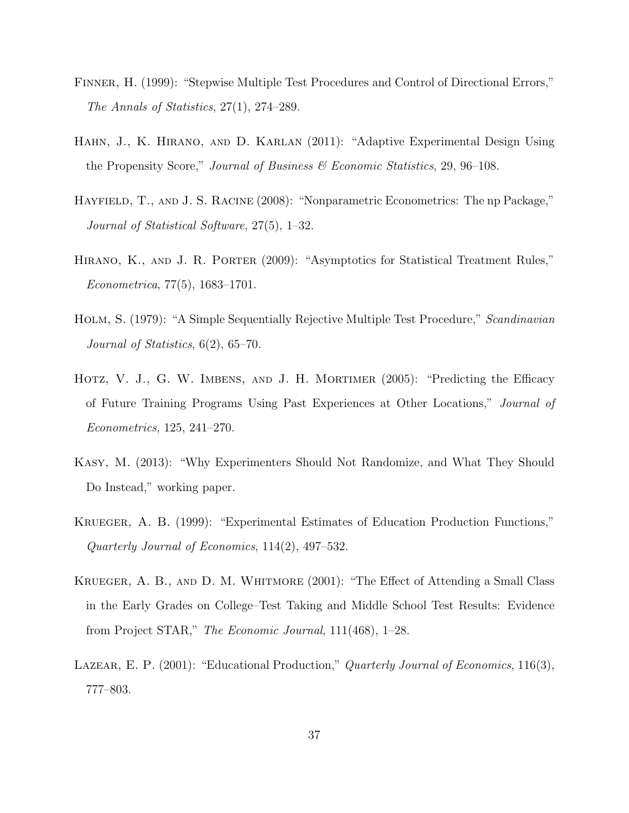- Finner, H. (1999): "Stepwise Multiple Test Procedures and Control of Directional Errors," The Annals of Statistics, 27(1), 274–289.
- Hahn, J., K. Hirano, and D. Karlan (2011): "Adaptive Experimental Design Using the Propensity Score," Journal of Business  $\mathscr B$  Economic Statistics, 29, 96–108.
- Hayfield, T., and J. S. Racine (2008): "Nonparametric Econometrics: The np Package," Journal of Statistical Software, 27(5), 1–32.
- Hirano, K., and J. R. Porter (2009): "Asymptotics for Statistical Treatment Rules," Econometrica, 77(5), 1683–1701.
- HOLM, S. (1979): "A Simple Sequentially Rejective Multiple Test Procedure," Scandinavian Journal of Statistics, 6(2), 65–70.
- Hotz, V. J., G. W. Imbens, and J. H. Mortimer (2005): "Predicting the Efficacy of Future Training Programs Using Past Experiences at Other Locations," Journal of Econometrics, 125, 241–270.
- Kasy, M. (2013): "Why Experimenters Should Not Randomize, and What They Should Do Instead," working paper.
- Krueger, A. B. (1999): "Experimental Estimates of Education Production Functions," Quarterly Journal of Economics, 114(2), 497–532.
- KRUEGER, A. B., AND D. M. WHITMORE (2001): "The Effect of Attending a Small Class in the Early Grades on College–Test Taking and Middle School Test Results: Evidence from Project STAR," The Economic Journal, 111(468), 1–28.
- LAZEAR, E. P. (2001): "Educational Production," Quarterly Journal of Economics, 116(3), 777–803.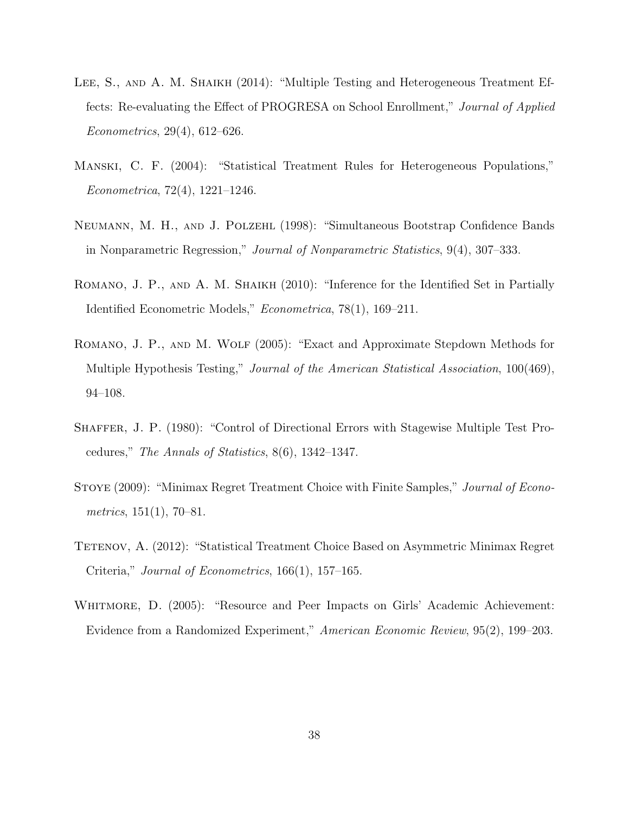- LEE, S., AND A. M. SHAIKH (2014): "Multiple Testing and Heterogeneous Treatment Effects: Re-evaluating the Effect of PROGRESA on School Enrollment," Journal of Applied Econometrics, 29(4), 612–626.
- Manski, C. F. (2004): "Statistical Treatment Rules for Heterogeneous Populations," Econometrica, 72(4), 1221–1246.
- Neumann, M. H., and J. Polzehl (1998): "Simultaneous Bootstrap Confidence Bands in Nonparametric Regression," Journal of Nonparametric Statistics, 9(4), 307–333.
- ROMANO, J. P., AND A. M. SHAIKH (2010): "Inference for the Identified Set in Partially Identified Econometric Models," Econometrica, 78(1), 169–211.
- Romano, J. P., and M. Wolf (2005): "Exact and Approximate Stepdown Methods for Multiple Hypothesis Testing," *Journal of the American Statistical Association*, 100(469), 94–108.
- Shaffer, J. P. (1980): "Control of Directional Errors with Stagewise Multiple Test Procedures," The Annals of Statistics, 8(6), 1342–1347.
- STOYE (2009): "Minimax Regret Treatment Choice with Finite Samples," *Journal of Econo*metrics,  $151(1)$ ,  $70-81$ .
- TETENOV, A. (2012): "Statistical Treatment Choice Based on Asymmetric Minimax Regret Criteria," Journal of Econometrics, 166(1), 157–165.
- WHITMORE, D. (2005): "Resource and Peer Impacts on Girls' Academic Achievement: Evidence from a Randomized Experiment," American Economic Review, 95(2), 199–203.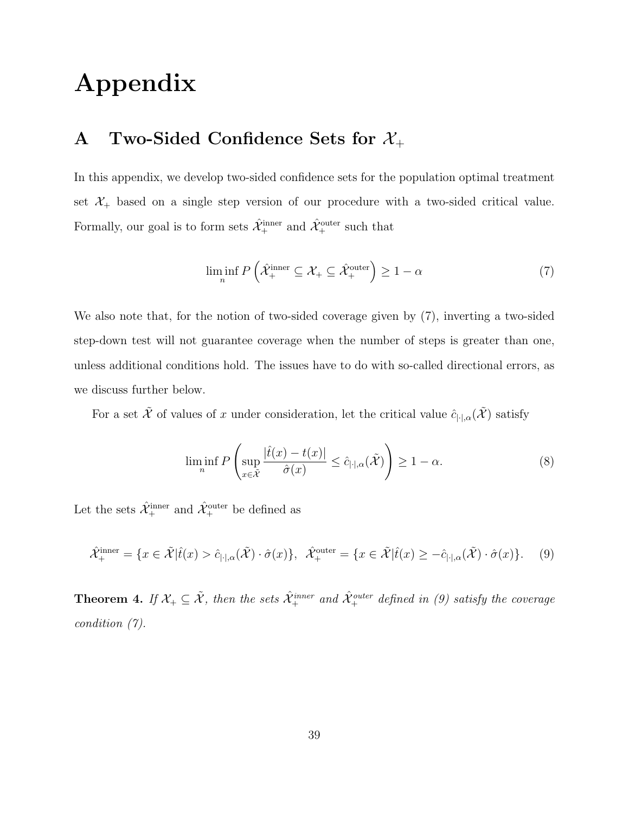# Appendix

## A Two-Sided Confidence Sets for  $\mathcal{X}_+$

In this appendix, we develop two-sided confidence sets for the population optimal treatment set  $\mathcal{X}_+$  based on a single step version of our procedure with a two-sided critical value. Formally, our goal is to form sets  $\hat{\mathcal{X}}^{\text{inner}}_{+}$  and  $\hat{\mathcal{X}}^{\text{outer}}_{+}$  such that

$$
\liminf_{n} P\left(\hat{\mathcal{X}}_{+}^{\text{inner}} \subseteq \mathcal{X}_{+} \subseteq \hat{\mathcal{X}}_{+}^{\text{outer}}\right) \ge 1 - \alpha \tag{7}
$$

We also note that, for the notion of two-sided coverage given by (7), inverting a two-sided step-down test will not guarantee coverage when the number of steps is greater than one, unless additional conditions hold. The issues have to do with so-called directional errors, as we discuss further below.

For a set  $\tilde{\mathcal{X}}$  of values of x under consideration, let the critical value  $\hat{c}_{|\cdot|\alpha}(\tilde{\mathcal{X}})$  satisfy

$$
\liminf_{n} P\left(\sup_{x \in \tilde{\mathcal{X}}} \frac{|\hat{t}(x) - t(x)|}{\hat{\sigma}(x)} \le \hat{c}_{|\cdot|,\alpha}(\tilde{\mathcal{X}})\right) \ge 1 - \alpha. \tag{8}
$$

Let the sets  $\hat{\mathcal{X}}^\text{inner}_+$  and  $\hat{\mathcal{X}}^\text{outer}_+$  be defined as

$$
\hat{\mathcal{X}}_{+}^{\text{inner}} = \{ x \in \tilde{\mathcal{X}} | \hat{t}(x) > \hat{c}_{|\cdot|,\alpha}(\tilde{\mathcal{X}}) \cdot \hat{\sigma}(x) \}, \quad \hat{\mathcal{X}}_{+}^{\text{outer}} = \{ x \in \tilde{\mathcal{X}} | \hat{t}(x) \ge -\hat{c}_{|\cdot|,\alpha}(\tilde{\mathcal{X}}) \cdot \hat{\sigma}(x) \}. \tag{9}
$$

**Theorem 4.** If  $X_+ \subseteq \tilde{X}$ , then the sets  $\hat{X}_+^{inner}$  and  $\hat{X}_+^{outer}$  defined in (9) satisfy the coverage condition (7).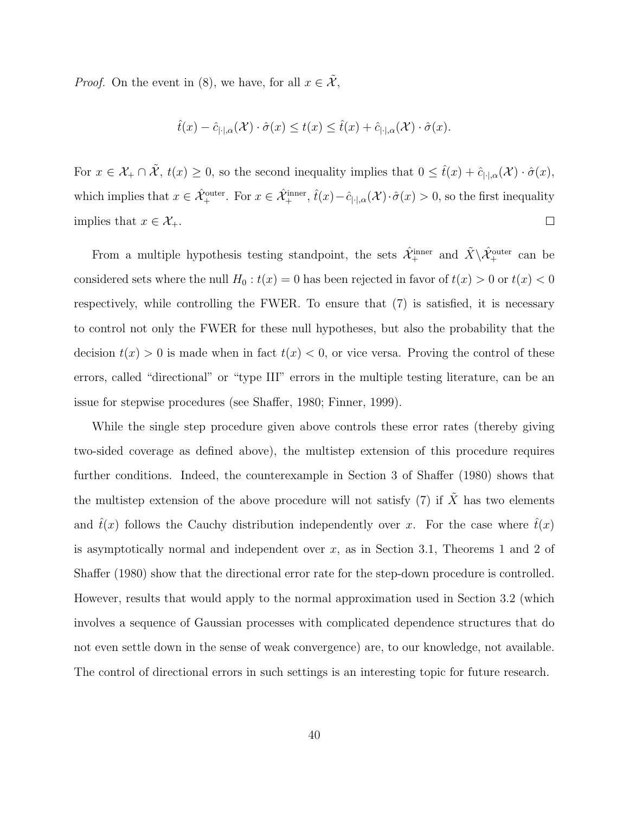*Proof.* On the event in (8), we have, for all  $x \in \tilde{\mathcal{X}}$ ,

$$
\hat{t}(x) - \hat{c}_{|\cdot|,\alpha}(\mathcal{X}) \cdot \hat{\sigma}(x) \le t(x) \le \hat{t}(x) + \hat{c}_{|\cdot|,\alpha}(\mathcal{X}) \cdot \hat{\sigma}(x).
$$

For  $x \in \mathcal{X}_+ \cap \tilde{\mathcal{X}}, t(x) \geq 0$ , so the second inequality implies that  $0 \leq \hat{t}(x) + \hat{c}_{|\cdot|,\alpha}(\mathcal{X}) \cdot \hat{\sigma}(x)$ , which implies that  $x \in \hat{\mathcal{X}}_+^{\text{outer}}$ . For  $x \in \hat{\mathcal{X}}_+^{\text{inner}}$ ,  $\hat{t}(x) - \hat{c}_{|\cdot|,\alpha}(\mathcal{X}) \cdot \hat{\sigma}(x) > 0$ , so the first inequality  $\Box$ implies that  $x \in \mathcal{X}_+$ .

From a multiple hypothesis testing standpoint, the sets  $\hat{\mathcal{X}}_+^{\text{inner}}$  and  $\tilde{X}\setminus\hat{\mathcal{X}}_+^{\text{outer}}$  can be considered sets where the null  $H_0 : t(x) = 0$  has been rejected in favor of  $t(x) > 0$  or  $t(x) < 0$ respectively, while controlling the FWER. To ensure that (7) is satisfied, it is necessary to control not only the FWER for these null hypotheses, but also the probability that the decision  $t(x) > 0$  is made when in fact  $t(x) < 0$ , or vice versa. Proving the control of these errors, called "directional" or "type III" errors in the multiple testing literature, can be an issue for stepwise procedures (see Shaffer, 1980; Finner, 1999).

While the single step procedure given above controls these error rates (thereby giving two-sided coverage as defined above), the multistep extension of this procedure requires further conditions. Indeed, the counterexample in Section 3 of Shaffer (1980) shows that the multistep extension of the above procedure will not satisfy (7) if  $\tilde{X}$  has two elements and  $\hat{t}(x)$  follows the Cauchy distribution independently over x. For the case where  $\hat{t}(x)$ is asymptotically normal and independent over  $x$ , as in Section 3.1, Theorems 1 and 2 of Shaffer (1980) show that the directional error rate for the step-down procedure is controlled. However, results that would apply to the normal approximation used in Section 3.2 (which involves a sequence of Gaussian processes with complicated dependence structures that do not even settle down in the sense of weak convergence) are, to our knowledge, not available. The control of directional errors in such settings is an interesting topic for future research.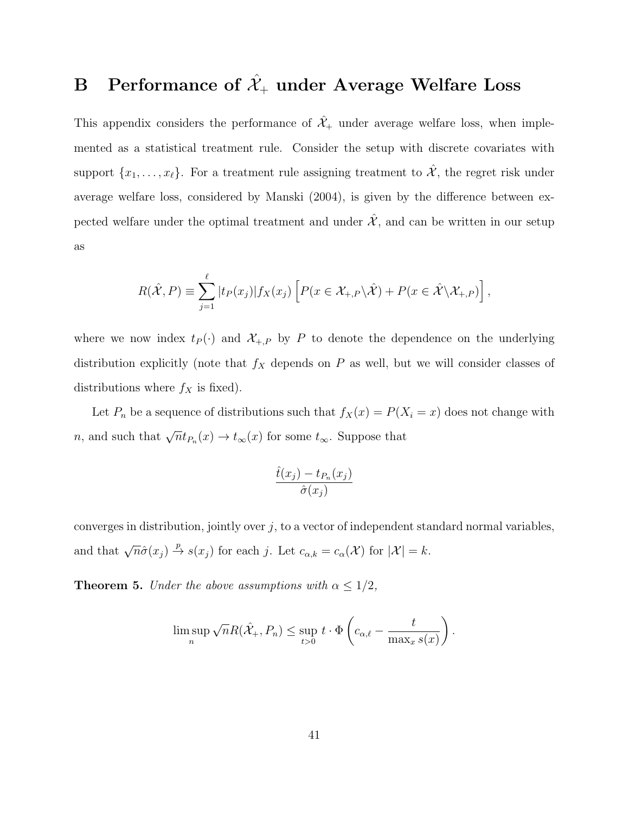## B Performance of  $\hat{\mathcal{X}}_{+}$  under Average Welfare Loss

This appendix considers the performance of  $\hat{\mathcal{X}}_+$  under average welfare loss, when implemented as a statistical treatment rule. Consider the setup with discrete covariates with support  $\{x_1, \ldots, x_\ell\}$ . For a treatment rule assigning treatment to  $\hat{\mathcal{X}}$ , the regret risk under average welfare loss, considered by Manski (2004), is given by the difference between expected welfare under the optimal treatment and under  $\hat{\mathcal{X}}$ , and can be written in our setup as

$$
R(\hat{\mathcal{X}}, P) \equiv \sum_{j=1}^{\ell} |t_P(x_j)| f_X(x_j) \left[ P(x \in \mathcal{X}_{+,P} \backslash \hat{\mathcal{X}}) + P(x \in \hat{\mathcal{X}} \backslash \mathcal{X}_{+,P}) \right],
$$

where we now index  $t_P(\cdot)$  and  $\mathcal{X}_{+,P}$  by P to denote the dependence on the underlying distribution explicitly (note that  $f_X$  depends on P as well, but we will consider classes of distributions where  $f_X$  is fixed).

Let  $P_n$  be a sequence of distributions such that  $f_X(x) = P(X_i = x)$  does not change with n, and such that  $\sqrt{n}t_{P_n}(x) \to t_{\infty}(x)$  for some  $t_{\infty}$ . Suppose that

$$
\frac{\hat{t}(x_j) - t_{P_n}(x_j)}{\hat{\sigma}(x_j)}
$$

converges in distribution, jointly over  $j$ , to a vector of independent standard normal variables, and that  $\sqrt{n}\hat{\sigma}(x_j) \stackrel{p}{\to} s(x_j)$  for each j. Let  $c_{\alpha,k} = c_{\alpha}(\mathcal{X})$  for  $|\mathcal{X}| = k$ .

**Theorem 5.** Under the above assumptions with  $\alpha \leq 1/2$ ,

$$
\limsup_{n} \sqrt{n} R(\hat{X}_{+}, P_{n}) \leq \sup_{t>0} t \cdot \Phi\left(c_{\alpha,\ell} - \frac{t}{\max_{x} s(x)}\right).
$$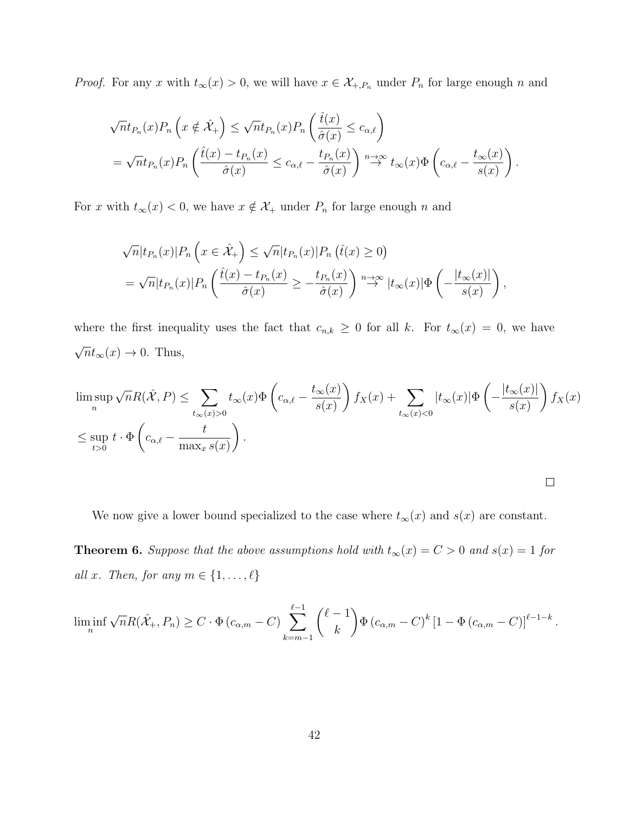*Proof.* For any x with  $t_{\infty}(x) > 0$ , we will have  $x \in \mathcal{X}_{+,P_n}$  under  $P_n$  for large enough n and

$$
\sqrt{n}t_{P_n}(x)P_n\left(x \notin \hat{\mathcal{X}}_+\right) \leq \sqrt{n}t_{P_n}(x)P_n\left(\frac{\hat{t}(x)}{\hat{\sigma}(x)} \leq c_{\alpha,\ell}\right)
$$
  
=  $\sqrt{n}t_{P_n}(x)P_n\left(\frac{\hat{t}(x) - t_{P_n}(x)}{\hat{\sigma}(x)} \leq c_{\alpha,\ell} - \frac{t_{P_n}(x)}{\hat{\sigma}(x)}\right) \stackrel{n \to \infty}{\to} t_{\infty}(x)\Phi\left(c_{\alpha,\ell} - \frac{t_{\infty}(x)}{s(x)}\right).$ 

For x with  $t_{\infty}(x) < 0$ , we have  $x \notin \mathcal{X}_+$  under  $P_n$  for large enough n and

$$
\sqrt{n}|t_{P_n}(x)|P_n(x)| \leq \hat{\mathcal{X}}_+\} \leq \sqrt{n}|t_{P_n}(x)|P_n(\hat{t}(x) \geq 0)
$$
  
=  $\sqrt{n}|t_{P_n}(x)|P_n(\frac{\hat{t}(x) - t_{P_n}(x)}{\hat{\sigma}(x)} \geq -\frac{t_{P_n}(x)}{\hat{\sigma}(x)}) \stackrel{n \to \infty}{\to} |t_{\infty}(x)|\Phi(-\frac{|t_{\infty}(x)|}{s(x)})$ ,

where the first inequality uses the fact that  $c_{n,k} \geq 0$  for all k. For  $t_{\infty}(x) = 0$ , we have √  $\overline{n}t_{\infty}(x) \to 0$ . Thus,

$$
\limsup_{n} \sqrt{n} R(\hat{\mathcal{X}}, P) \le \sum_{t_{\infty}(x) > 0} t_{\infty}(x) \Phi\left(c_{\alpha,\ell} - \frac{t_{\infty}(x)}{s(x)}\right) f_X(x) + \sum_{t_{\infty}(x) < 0} |t_{\infty}(x)| \Phi\left(-\frac{|t_{\infty}(x)|}{s(x)}\right) f_X(x)
$$
\n
$$
\le \sup_{t > 0} t \cdot \Phi\left(c_{\alpha,\ell} - \frac{t}{\max_{x} s(x)}\right).
$$

We now give a lower bound specialized to the case where  $t_{\infty}(x)$  and  $s(x)$  are constant.

**Theorem 6.** Suppose that the above assumptions hold with  $t_{\infty}(x) = C > 0$  and  $s(x) = 1$  for all x. Then, for any  $m \in \{1, \ldots, \ell\}$ 

$$
\liminf_{n} \sqrt{n} R(\hat{X}_{+}, P_{n}) \geq C \cdot \Phi(c_{\alpha,m} - C) \sum_{k=m-1}^{\ell-1} {\ell-1 \choose k} \Phi(c_{\alpha,m} - C)^{k} \left[1 - \Phi(c_{\alpha,m} - C)\right]^{\ell-1-k}.
$$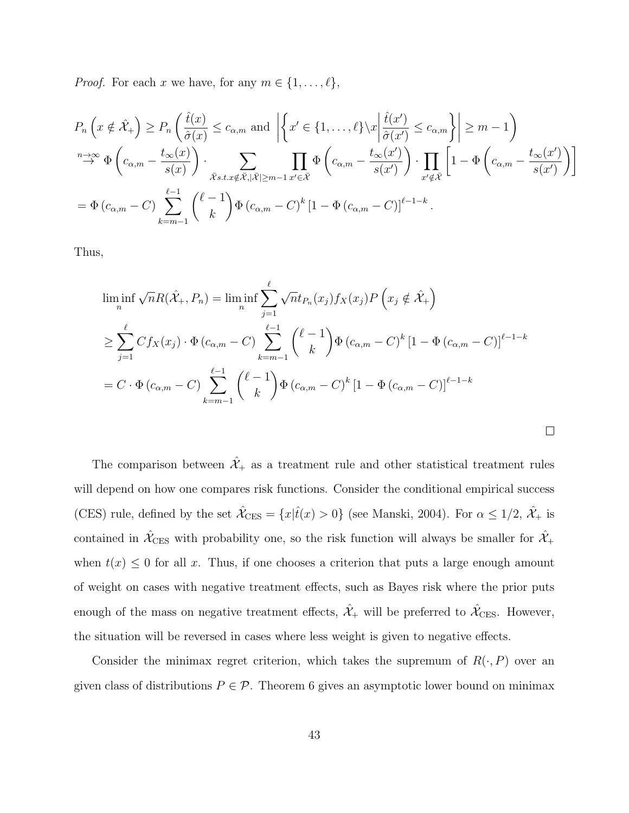*Proof.* For each x we have, for any  $m \in \{1, ..., \ell\},\$ 

$$
P_n\left(x \notin \hat{\mathcal{X}}_+\right) \ge P_n\left(\frac{\hat{t}(x)}{\hat{\sigma}(x)} \le c_{\alpha,m} \text{ and } \left| \left\{x' \in \{1, \dots, \ell\} \setminus x \middle| \frac{\hat{t}(x')}{\hat{\sigma}(x')} \le c_{\alpha,m} \right\} \right| \ge m - 1\right)
$$
\n
$$
\xrightarrow{n \to \infty} \Phi\left(c_{\alpha,m} - \frac{t_{\infty}(x)}{s(x)}\right) \cdot \sum_{\bar{x}_{s.t.} \neq \bar{x}, |\bar{x}| \ge m-1} \prod_{x' \in \bar{x}} \Phi\left(c_{\alpha,m} - \frac{t_{\infty}(x')}{s(x')}\right) \cdot \prod_{x' \notin \bar{x}} \left[1 - \Phi\left(c_{\alpha,m} - \frac{t_{\infty}(x')}{s(x')}\right)\right]
$$
\n
$$
= \Phi\left(c_{\alpha,m} - C\right) \sum_{k=m-1}^{\ell-1} \binom{\ell-1}{k} \Phi\left(c_{\alpha,m} - C\right)^k \left[1 - \Phi\left(c_{\alpha,m} - C\right)\right]^{\ell-1-k}.
$$

Thus,

$$
\liminf_{n} \sqrt{n} R(\hat{X}_{+}, P_{n}) = \liminf_{n} \sum_{j=1}^{\ell} \sqrt{n} t_{P_{n}}(x_{j}) f_{X}(x_{j}) P\left(x_{j} \notin \hat{X}_{+}\right)
$$
\n
$$
\geq \sum_{j=1}^{\ell} C f_{X}(x_{j}) \cdot \Phi\left(c_{\alpha, m} - C\right) \sum_{k=m-1}^{\ell-1} {\ell-1 \choose k} \Phi\left(c_{\alpha, m} - C\right)^{k} \left[1 - \Phi\left(c_{\alpha, m} - C\right)\right]^{\ell-1-k}
$$
\n
$$
= C \cdot \Phi\left(c_{\alpha, m} - C\right) \sum_{k=m-1}^{\ell-1} {\ell-1 \choose k} \Phi\left(c_{\alpha, m} - C\right)^{k} \left[1 - \Phi\left(c_{\alpha, m} - C\right)\right]^{\ell-1-k}
$$

 $\Box$ 

The comparison between  $\hat{\mathcal{X}}_+$  as a treatment rule and other statistical treatment rules will depend on how one compares risk functions. Consider the conditional empirical success (CES) rule, defined by the set  $\hat{\mathcal{X}}_{\text{CES}} = \{x|\hat{t}(x) > 0\}$  (see Manski, 2004). For  $\alpha \leq 1/2$ ,  $\hat{\mathcal{X}}_{+}$  is contained in  $\hat{\mathcal{X}}_{\text{CES}}$  with probability one, so the risk function will always be smaller for  $\hat{\mathcal{X}}_+$ when  $t(x) \leq 0$  for all x. Thus, if one chooses a criterion that puts a large enough amount of weight on cases with negative treatment effects, such as Bayes risk where the prior puts enough of the mass on negative treatment effects,  $\hat{\mathcal{X}}_+$  will be preferred to  $\hat{\mathcal{X}}_{\text{CES}}$ . However, the situation will be reversed in cases where less weight is given to negative effects.

Consider the minimax regret criterion, which takes the supremum of  $R(\cdot, P)$  over an given class of distributions  $P \in \mathcal{P}$ . Theorem 6 gives an asymptotic lower bound on minimax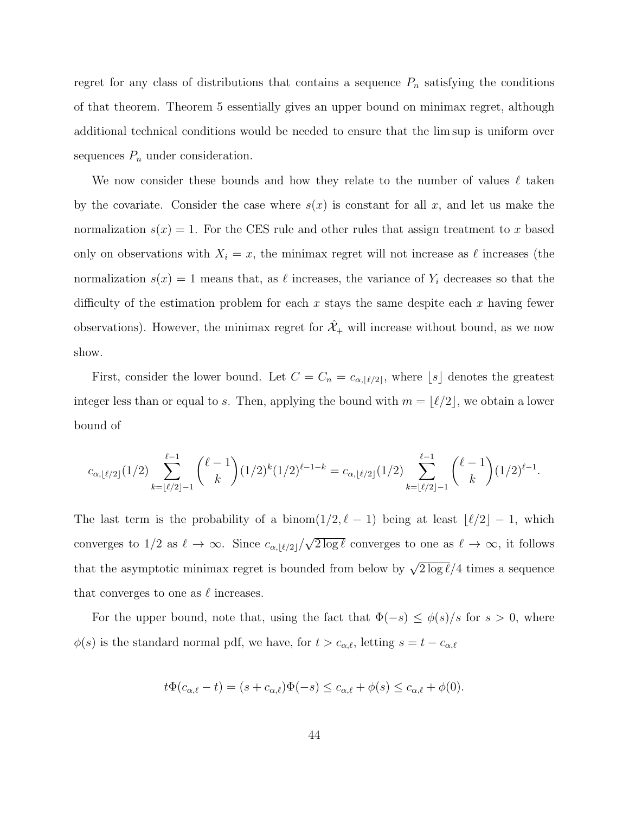regret for any class of distributions that contains a sequence  $P_n$  satisfying the conditions of that theorem. Theorem 5 essentially gives an upper bound on minimax regret, although additional technical conditions would be needed to ensure that the lim sup is uniform over sequences  $P_n$  under consideration.

We now consider these bounds and how they relate to the number of values  $\ell$  taken by the covariate. Consider the case where  $s(x)$  is constant for all x, and let us make the normalization  $s(x) = 1$ . For the CES rule and other rules that assign treatment to x based only on observations with  $X_i = x$ , the minimax regret will not increase as  $\ell$  increases (the normalization  $s(x) = 1$  means that, as  $\ell$  increases, the variance of  $Y_i$  decreases so that the difficulty of the estimation problem for each x stays the same despite each x having fewer observations). However, the minimax regret for  $\mathcal{X}_+$  will increase without bound, as we now show.

First, consider the lower bound. Let  $C = C_n = c_{\alpha, \lfloor \ell/2 \rfloor}$ , where  $\lfloor s \rfloor$  denotes the greatest integer less than or equal to s. Then, applying the bound with  $m = \lfloor \ell/2 \rfloor$ , we obtain a lower bound of

$$
c_{\alpha,\lfloor \ell/2\rfloor}(1/2)\sum_{k=\lfloor \ell/2\rfloor-1}^{\ell-1}\binom{\ell-1}{k}(1/2)^k(1/2)^{\ell-1-k}=c_{\alpha,\lfloor \ell/2\rfloor}(1/2)\sum_{k=\lfloor \ell/2\rfloor-1}^{\ell-1}\binom{\ell-1}{k}(1/2)^{\ell-1}.
$$

The last term is the probability of a binom $(1/2, \ell - 1)$  being at least  $\lfloor \ell/2 \rfloor - 1$ , which converges to  $1/2$  as  $\ell \to \infty$ . Since  $c_{\alpha,|\ell/2|}/\ell$ √  $\overline{2 \log \ell}$  converges to one as  $\ell \to \infty$ , it follows that the asymptotic minimax regret is bounded from below by  $\sqrt{2 \log \ell}/4$  times a sequence that converges to one as  $\ell$  increases.

For the upper bound, note that, using the fact that  $\Phi(-s) \leq \phi(s)/s$  for  $s > 0$ , where  $\phi(s)$  is the standard normal pdf, we have, for  $t > c_{\alpha,\ell}$ , letting  $s = t - c_{\alpha,\ell}$ 

$$
t\Phi(c_{\alpha,\ell}-t)=(s+c_{\alpha,\ell})\Phi(-s)\leq c_{\alpha,\ell}+\phi(s)\leq c_{\alpha,\ell}+\phi(0).
$$